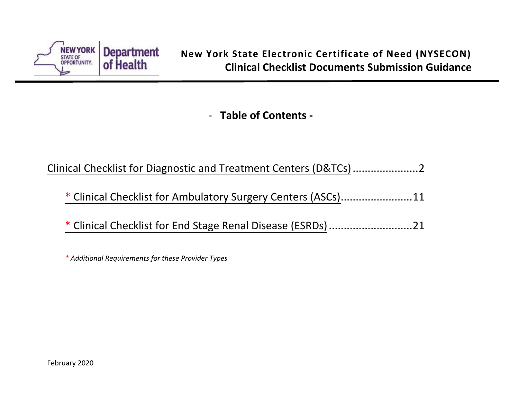

- **Table of Contents -**

[Clinical Checklist for Diagnostic and Treatment Centers \(D&TCs\)](#page-1-0) ......................2

- \* [Clinical Checklist for Ambulatory Surgery Centers](#page-10-0) (ASCs)........................11
- \* [Clinical Checklist for End Stage Renal Disease](#page-20-0) (ESRDs)............................21

*\* Additional Requirements for these Provider Types*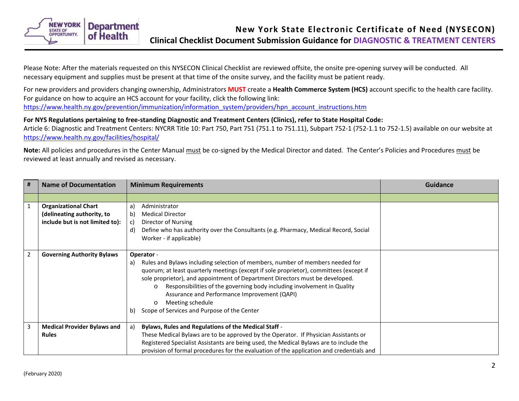<span id="page-1-0"></span>

Please Note: After the materials requested on this NYSECON Clinical Checklist are reviewed offsite, the onsite pre-opening survey will be conducted. All necessary equipment and supplies must be present at that time of the onsite survey, and the facility must be patient ready.

For new providers and providers changing ownership, Administrators **MUST** create a **Health Commerce System (HCS)** account specific to the health care facility. For guidance on how to acquire an HCS account for your facility, click the following link: [https://www.health.ny.gov/prevention/immunization/information\\_system/providers/hpn\\_account\\_instructions.htm](https://www.health.ny.gov/prevention/immunization/information_system/providers/hpn_account_instructions.htm)

### **For NYS Regulations pertaining to free-standing Diagnostic and Treatment Centers (Clinics), refer to State Hospital Code:**

Article 6: Diagnostic and Treatment Centers: NYCRR Title 10: Part 750, Part 751 (751.1 to 751.11), Subpart 752-1 (752-1.1 to 752-1.5) available on our website at <https://www.health.ny.gov/facilities/hospital/>

**Note:** All policies and procedures in the Center Manual must be co-signed by the Medical Director and dated. The Center's Policies and Procedures must be reviewed at least annually and revised as necessary.

| $\vert$ #      | <b>Name of Documentation</b>                              | <b>Minimum Requirements</b>                                                                                                                                                                                                                                                                                                                                                                                                                                                                           | <b>Guidance</b> |
|----------------|-----------------------------------------------------------|-------------------------------------------------------------------------------------------------------------------------------------------------------------------------------------------------------------------------------------------------------------------------------------------------------------------------------------------------------------------------------------------------------------------------------------------------------------------------------------------------------|-----------------|
|                |                                                           |                                                                                                                                                                                                                                                                                                                                                                                                                                                                                                       |                 |
| $\mathbf{1}$   | <b>Organizational Chart</b><br>(delineating authority, to | Administrator<br>a)<br><b>Medical Director</b><br>b)                                                                                                                                                                                                                                                                                                                                                                                                                                                  |                 |
|                | include but is not limited to):                           | Director of Nursing<br>C)<br>Define who has authority over the Consultants (e.g. Pharmacy, Medical Record, Social<br>d)<br>Worker - if applicable)                                                                                                                                                                                                                                                                                                                                                    |                 |
| $\overline{2}$ | <b>Governing Authority Bylaws</b>                         | Operator -<br>Rules and Bylaws including selection of members, number of members needed for<br>a)<br>quorum; at least quarterly meetings (except if sole proprietor), committees (except if<br>sole proprietor), and appointment of Department Directors must be developed.<br>Responsibilities of the governing body including involvement in Quality<br>$\circ$<br>Assurance and Performance Improvement (QAPI)<br>Meeting schedule<br>$\circ$<br>Scope of Services and Purpose of the Center<br>b) |                 |
| 3              | <b>Medical Provider Bylaws and</b>                        | <b>Bylaws, Rules and Regulations of the Medical Staff -</b><br>a)                                                                                                                                                                                                                                                                                                                                                                                                                                     |                 |
|                | <b>Rules</b>                                              | These Medical Bylaws are to be approved by the Operator. If Physician Assistants or<br>Registered Specialist Assistants are being used, the Medical Bylaws are to include the<br>provision of formal procedures for the evaluation of the application and credentials and                                                                                                                                                                                                                             |                 |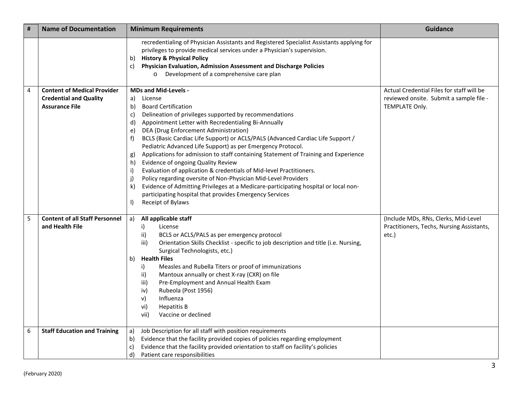| # | <b>Name of Documentation</b>                                                                 | <b>Minimum Requirements</b>                                                                                                                                                                                                                                                                                                                                                                                                                                                                                                                                                                                                                                                                                                                                                                                                                                                                           | <b>Guidance</b>                                                                                        |
|---|----------------------------------------------------------------------------------------------|-------------------------------------------------------------------------------------------------------------------------------------------------------------------------------------------------------------------------------------------------------------------------------------------------------------------------------------------------------------------------------------------------------------------------------------------------------------------------------------------------------------------------------------------------------------------------------------------------------------------------------------------------------------------------------------------------------------------------------------------------------------------------------------------------------------------------------------------------------------------------------------------------------|--------------------------------------------------------------------------------------------------------|
|   |                                                                                              | recredentialing of Physician Assistants and Registered Specialist Assistants applying for<br>privileges to provide medical services under a Physician's supervision.<br><b>History &amp; Physical Policy</b><br>b)<br>Physician Evaluation, Admission Assessment and Discharge Policies<br>c)<br>o Development of a comprehensive care plan                                                                                                                                                                                                                                                                                                                                                                                                                                                                                                                                                           |                                                                                                        |
| 4 | <b>Content of Medical Provider</b><br><b>Credential and Quality</b><br><b>Assurance File</b> | <b>MDs and Mid-Levels -</b><br>License<br>a)<br><b>Board Certification</b><br>b)<br>Delineation of privileges supported by recommendations<br>c)<br>Appointment Letter with Recredentialing Bi-Annually<br>d)<br>DEA (Drug Enforcement Administration)<br>e)<br>BCLS (Basic Cardiac Life Support) or ACLS/PALS (Advanced Cardiac Life Support /<br>f)<br>Pediatric Advanced Life Support) as per Emergency Protocol.<br>Applications for admission to staff containing Statement of Training and Experience<br>g)<br>Evidence of ongoing Quality Review<br>h)<br>Evaluation of application & credentials of Mid-level Practitioners.<br>i)<br>Policy regarding oversite of Non-Physician Mid-Level Providers<br>j)<br>Evidence of Admitting Privileges at a Medicare-participating hospital or local non-<br>k)<br>participating hospital that provides Emergency Services<br>Receipt of Bylaws<br>I) | Actual Credential Files for staff will be<br>reviewed onsite. Submit a sample file -<br>TEMPLATE Only. |
| 5 | <b>Content of all Staff Personnel</b><br>and Health File                                     | All applicable staff<br>a)<br>i)<br>License<br>ii)<br>BCLS or ACLS/PALS as per emergency protocol<br>Orientation Skills Checklist - specific to job description and title (i.e. Nursing,<br>iii)<br>Surgical Technologists, etc.)<br><b>Health Files</b><br>b)<br>Measles and Rubella Titers or proof of immunizations<br>i)<br>Mantoux annually or chest X-ray (CXR) on file<br>ii)<br>iii)<br>Pre-Employment and Annual Health Exam<br>Rubeola (Post 1956)<br>iv)<br>v)<br>Influenza<br>vi)<br><b>Hepatitis B</b><br>Vaccine or declined<br>vii)                                                                                                                                                                                                                                                                                                                                                    | (Include MDs, RNs, Clerks, Mid-Level<br>Practitioners, Techs, Nursing Assistants,<br>etc.)             |
| 6 | <b>Staff Education and Training</b>                                                          | Job Description for all staff with position requirements<br>a)<br>Evidence that the facility provided copies of policies regarding employment<br>b)<br>Evidence that the facility provided orientation to staff on facility's policies<br>C)<br>d)<br>Patient care responsibilities                                                                                                                                                                                                                                                                                                                                                                                                                                                                                                                                                                                                                   |                                                                                                        |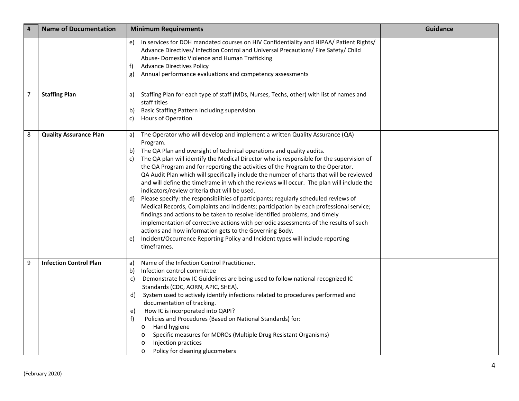| #              | <b>Name of Documentation</b>  | <b>Minimum Requirements</b>                                                                                                                                                                                                                                                                                                                                                                                                                                                                                                                                                                                                                                                                                                                                                                                                                                                                                                                                                                                                                                                                                                                   | Guidance |
|----------------|-------------------------------|-----------------------------------------------------------------------------------------------------------------------------------------------------------------------------------------------------------------------------------------------------------------------------------------------------------------------------------------------------------------------------------------------------------------------------------------------------------------------------------------------------------------------------------------------------------------------------------------------------------------------------------------------------------------------------------------------------------------------------------------------------------------------------------------------------------------------------------------------------------------------------------------------------------------------------------------------------------------------------------------------------------------------------------------------------------------------------------------------------------------------------------------------|----------|
|                |                               | In services for DOH mandated courses on HIV Confidentiality and HIPAA/ Patient Rights/<br>e)<br>Advance Directives/ Infection Control and Universal Precautions/ Fire Safety/ Child<br>Abuse- Domestic Violence and Human Trafficking<br><b>Advance Directives Policy</b><br>f)<br>Annual performance evaluations and competency assessments<br>g)                                                                                                                                                                                                                                                                                                                                                                                                                                                                                                                                                                                                                                                                                                                                                                                            |          |
| $\overline{7}$ | <b>Staffing Plan</b>          | Staffing Plan for each type of staff (MDs, Nurses, Techs, other) with list of names and<br>a)<br>staff titles<br>Basic Staffing Pattern including supervision<br>b)<br>Hours of Operation<br>C)                                                                                                                                                                                                                                                                                                                                                                                                                                                                                                                                                                                                                                                                                                                                                                                                                                                                                                                                               |          |
| 8              | <b>Quality Assurance Plan</b> | The Operator who will develop and implement a written Quality Assurance (QA)<br>a)<br>Program.<br>The QA Plan and oversight of technical operations and quality audits.<br>b)<br>The QA plan will identify the Medical Director who is responsible for the supervision of<br>C)<br>the QA Program and for reporting the activities of the Program to the Operator.<br>QA Audit Plan which will specifically include the number of charts that will be reviewed<br>and will define the timeframe in which the reviews will occur. The plan will include the<br>indicators/review criteria that will be used.<br>Please specify: the responsibilities of participants; regularly scheduled reviews of<br>d)<br>Medical Records, Complaints and Incidents; participation by each professional service;<br>findings and actions to be taken to resolve identified problems, and timely<br>implementation of corrective actions with periodic assessments of the results of such<br>actions and how information gets to the Governing Body.<br>Incident/Occurrence Reporting Policy and Incident types will include reporting<br>e)<br>timeframes. |          |
| 9              | <b>Infection Control Plan</b> | Name of the Infection Control Practitioner.<br>a)<br>Infection control committee<br>b)<br>Demonstrate how IC Guidelines are being used to follow national recognized IC<br>C)<br>Standards (CDC, AORN, APIC, SHEA).<br>System used to actively identify infections related to procedures performed and<br>d)<br>documentation of tracking.<br>How IC is incorporated into QAPI?<br>e)<br>Policies and Procedures (Based on National Standards) for:<br>f)<br>Hand hygiene<br>$\circ$<br>Specific measures for MDROs (Multiple Drug Resistant Organisms)<br>$\circ$<br>Injection practices<br>O<br>Policy for cleaning glucometers<br>$\circ$                                                                                                                                                                                                                                                                                                                                                                                                                                                                                                  |          |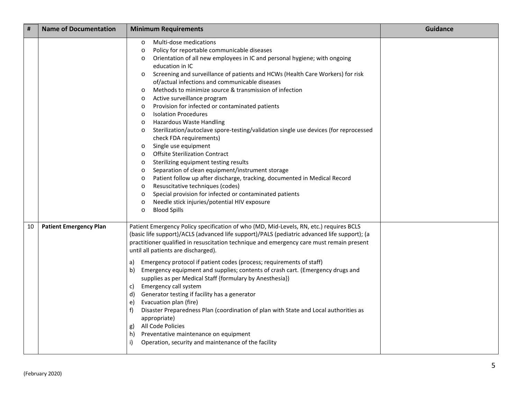| #  | <b>Name of Documentation</b>  | <b>Minimum Requirements</b>                                                                                                                                                                                                                                                                                                                                                                                                                                                                                                                                                                                                                                                                                                                                                                                                                                                                                                                                                                                                                                                                                                                                                                                                                               | <b>Guidance</b> |
|----|-------------------------------|-----------------------------------------------------------------------------------------------------------------------------------------------------------------------------------------------------------------------------------------------------------------------------------------------------------------------------------------------------------------------------------------------------------------------------------------------------------------------------------------------------------------------------------------------------------------------------------------------------------------------------------------------------------------------------------------------------------------------------------------------------------------------------------------------------------------------------------------------------------------------------------------------------------------------------------------------------------------------------------------------------------------------------------------------------------------------------------------------------------------------------------------------------------------------------------------------------------------------------------------------------------|-----------------|
|    |                               | Multi-dose medications<br>$\circ$<br>Policy for reportable communicable diseases<br>$\circ$<br>Orientation of all new employees in IC and personal hygiene; with ongoing<br>$\circ$<br>education in IC<br>Screening and surveillance of patients and HCWs (Health Care Workers) for risk<br>$\circ$<br>of/actual infections and communicable diseases<br>Methods to minimize source & transmission of infection<br>$\circ$<br>Active surveillance program<br>$\circ$<br>Provision for infected or contaminated patients<br>O<br><b>Isolation Procedures</b><br>$\circ$<br>Hazardous Waste Handling<br>O<br>Sterilization/autoclave spore-testing/validation single use devices (for reprocessed<br>$\circ$<br>check FDA requirements)<br>Single use equipment<br>$\circ$<br><b>Offsite Sterilization Contract</b><br>$\circ$<br>Sterilizing equipment testing results<br>$\circ$<br>Separation of clean equipment/instrument storage<br>$\circ$<br>Patient follow up after discharge, tracking, documented in Medical Record<br>$\circ$<br>Resuscitative techniques (codes)<br>$\circ$<br>Special provision for infected or contaminated patients<br>$\circ$<br>Needle stick injuries/potential HIV exposure<br>$\circ$<br><b>Blood Spills</b><br>$\circ$ |                 |
| 10 | <b>Patient Emergency Plan</b> | Patient Emergency Policy specification of who (MD, Mid-Levels, RN, etc.) requires BCLS<br>(basic life support)/ACLS (advanced life support)/PALS (pediatric advanced life support); (a<br>practitioner qualified in resuscitation technique and emergency care must remain present<br>until all patients are discharged).<br>Emergency protocol if patient codes (process; requirements of staff)<br>a)<br>Emergency equipment and supplies; contents of crash cart. (Emergency drugs and<br>b)<br>supplies as per Medical Staff {formulary by Anesthesia})<br>Emergency call system<br>C)<br>Generator testing if facility has a generator<br>d)<br>Evacuation plan (fire)<br>e)<br>Disaster Preparedness Plan (coordination of plan with State and Local authorities as<br>f)<br>appropriate)<br>All Code Policies<br>g)<br>Preventative maintenance on equipment<br>h)<br>Operation, security and maintenance of the facility                                                                                                                                                                                                                                                                                                                          |                 |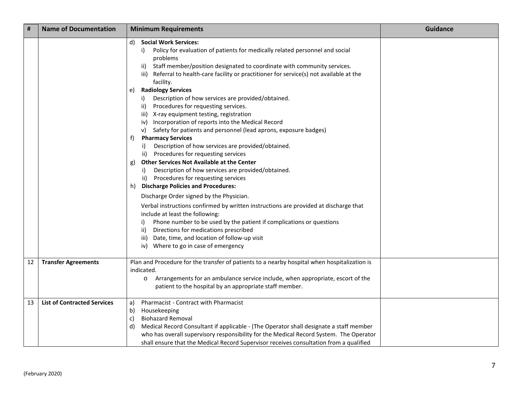| #  | <b>Name of Documentation</b>       | <b>Minimum Requirements</b>                                                                                                                                                                                                                                                                                                                                                                                                                          | <b>Guidance</b> |
|----|------------------------------------|------------------------------------------------------------------------------------------------------------------------------------------------------------------------------------------------------------------------------------------------------------------------------------------------------------------------------------------------------------------------------------------------------------------------------------------------------|-----------------|
|    |                                    | <b>Social Work Services:</b><br>d)<br>Policy for evaluation of patients for medically related personnel and social<br>i)<br>problems<br>Staff member/position designated to coordinate with community services.<br>ii)<br>Referral to health-care facility or practitioner for service(s) not available at the<br>iii)<br>facility.                                                                                                                  |                 |
|    |                                    | <b>Radiology Services</b><br>e)<br>Description of how services are provided/obtained.<br>i)<br>Procedures for requesting services.<br>ii)<br>iii) X-ray equipment testing, registration<br>iv) Incorporation of reports into the Medical Record<br>v) Safety for patients and personnel (lead aprons, exposure badges)<br><b>Pharmacy Services</b><br>t)<br>Description of how services are provided/obtained.<br>Procedures for requesting services |                 |
|    |                                    | ii)<br><b>Other Services Not Available at the Center</b><br>g)<br>Description of how services are provided/obtained.<br>i)<br>ii) Procedures for requesting services<br><b>Discharge Policies and Procedures:</b><br>h)                                                                                                                                                                                                                              |                 |
|    |                                    | Discharge Order signed by the Physician.<br>Verbal instructions confirmed by written instructions are provided at discharge that<br>include at least the following:<br>Phone number to be used by the patient if complications or questions<br>i)<br>Directions for medications prescribed<br>ii)<br>iii) Date, time, and location of follow-up visit<br>iv) Where to go in case of emergency                                                        |                 |
| 12 | <b>Transfer Agreements</b>         | Plan and Procedure for the transfer of patients to a nearby hospital when hospitalization is<br>indicated.<br>Arrangements for an ambulance service include, when appropriate, escort of the<br>$\circ$<br>patient to the hospital by an appropriate staff member.                                                                                                                                                                                   |                 |
| 13 | <b>List of Contracted Services</b> | Pharmacist - Contract with Pharmacist<br>a)<br>Housekeeping<br>b)<br><b>Biohazard Removal</b><br>c)<br>Medical Record Consultant if applicable - (The Operator shall designate a staff member<br>d)<br>who has overall supervisory responsibility for the Medical Record System. The Operator<br>shall ensure that the Medical Record Supervisor receives consultation from a qualified                                                              |                 |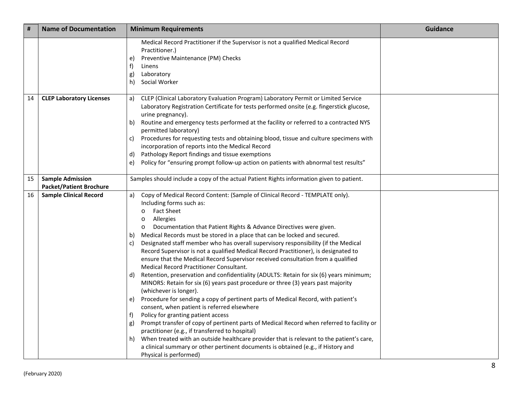| $\pmb{\sharp}$ | <b>Name of Documentation</b>                              | <b>Minimum Requirements</b>                                                                                                                                                                                                                                                                                                                                                                                                                                                                                                                                                                                                                                                                                                                                                                                                                                                                                                                                                                                                                                                                                                                                                                                                                                                                                                                                                                                                             | <b>Guidance</b> |
|----------------|-----------------------------------------------------------|-----------------------------------------------------------------------------------------------------------------------------------------------------------------------------------------------------------------------------------------------------------------------------------------------------------------------------------------------------------------------------------------------------------------------------------------------------------------------------------------------------------------------------------------------------------------------------------------------------------------------------------------------------------------------------------------------------------------------------------------------------------------------------------------------------------------------------------------------------------------------------------------------------------------------------------------------------------------------------------------------------------------------------------------------------------------------------------------------------------------------------------------------------------------------------------------------------------------------------------------------------------------------------------------------------------------------------------------------------------------------------------------------------------------------------------------|-----------------|
|                |                                                           | Medical Record Practitioner if the Supervisor is not a qualified Medical Record<br>Practitioner.)<br>Preventive Maintenance (PM) Checks<br>e)<br>f)<br>Linens<br>Laboratory<br>g)<br>Social Worker<br>h)                                                                                                                                                                                                                                                                                                                                                                                                                                                                                                                                                                                                                                                                                                                                                                                                                                                                                                                                                                                                                                                                                                                                                                                                                                |                 |
| 14             | <b>CLEP Laboratory Licenses</b>                           | CLEP (Clinical Laboratory Evaluation Program) Laboratory Permit or Limited Service<br>a)<br>Laboratory Registration Certificate for tests performed onsite (e.g. fingerstick glucose,<br>urine pregnancy).<br>Routine and emergency tests performed at the facility or referred to a contracted NYS<br>b)<br>permitted laboratory)<br>Procedures for requesting tests and obtaining blood, tissue and culture specimens with<br>C)<br>incorporation of reports into the Medical Record<br>Pathology Report findings and tissue exemptions<br>d)<br>Policy for "ensuring prompt follow-up action on patients with abnormal test results"<br>e)                                                                                                                                                                                                                                                                                                                                                                                                                                                                                                                                                                                                                                                                                                                                                                                           |                 |
| 15             | <b>Sample Admission</b><br><b>Packet/Patient Brochure</b> | Samples should include a copy of the actual Patient Rights information given to patient.                                                                                                                                                                                                                                                                                                                                                                                                                                                                                                                                                                                                                                                                                                                                                                                                                                                                                                                                                                                                                                                                                                                                                                                                                                                                                                                                                |                 |
| 16             | <b>Sample Clinical Record</b>                             | Copy of Medical Record Content: (Sample of Clinical Record - TEMPLATE only).<br>a)<br>Including forms such as:<br><b>Fact Sheet</b><br>$\circ$<br>Allergies<br>$\circ$<br>Documentation that Patient Rights & Advance Directives were given.<br>$\circ$<br>Medical Records must be stored in a place that can be locked and secured.<br>b)<br>Designated staff member who has overall supervisory responsibility (if the Medical<br>C)<br>Record Supervisor is not a qualified Medical Record Practitioner), is designated to<br>ensure that the Medical Record Supervisor received consultation from a qualified<br>Medical Record Practitioner Consultant.<br>Retention, preservation and confidentiality (ADULTS: Retain for six (6) years minimum;<br>d)<br>MINORS: Retain for six (6) years past procedure or three (3) years past majority<br>(whichever is longer).<br>Procedure for sending a copy of pertinent parts of Medical Record, with patient's<br>e)<br>consent, when patient is referred elsewhere<br>Policy for granting patient access<br>t)<br>Prompt transfer of copy of pertinent parts of Medical Record when referred to facility or<br>g)<br>practitioner (e.g., if transferred to hospital)<br>When treated with an outside healthcare provider that is relevant to the patient's care,<br>h)<br>a clinical summary or other pertinent documents is obtained (e.g., if History and<br>Physical is performed) |                 |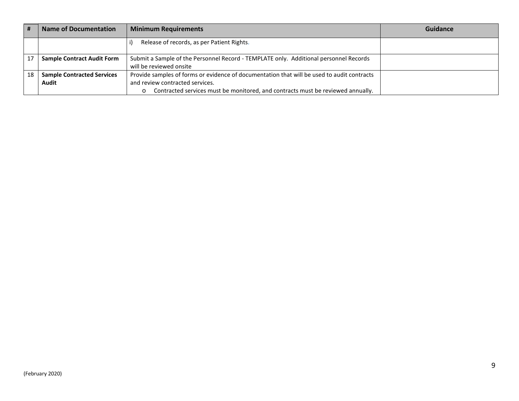|    | <b>Name of Documentation</b>      | <b>Minimum Requirements</b>                                                                | Guidance |
|----|-----------------------------------|--------------------------------------------------------------------------------------------|----------|
|    |                                   | Release of records, as per Patient Rights.                                                 |          |
|    | <b>Sample Contract Audit Form</b> | Submit a Sample of the Personnel Record - TEMPLATE only. Additional personnel Records      |          |
|    |                                   | will be reviewed onsite                                                                    |          |
| 18 | <b>Sample Contracted Services</b> | Provide samples of forms or evidence of documentation that will be used to audit contracts |          |
|    | Audit                             | and review contracted services.                                                            |          |
|    |                                   | Contracted services must be monitored, and contracts must be reviewed annually.<br>$\circ$ |          |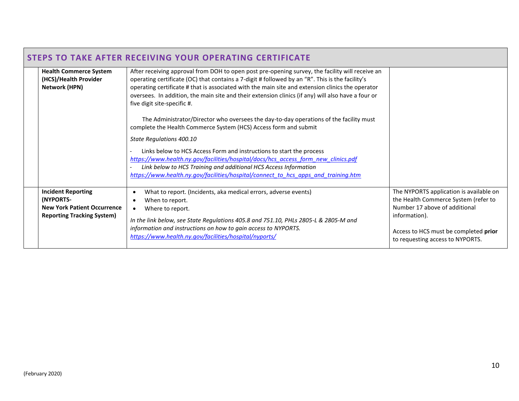|                                                                                                                   | <b>STEPS TO TAKE AFTER RECEIVING YOUR OPERATING CERTIFICATE</b>                                                                                                                                                                                                                                                                                                                                                                                                                                                                                                                                                                       |                                                                                                                                                                                                                |
|-------------------------------------------------------------------------------------------------------------------|---------------------------------------------------------------------------------------------------------------------------------------------------------------------------------------------------------------------------------------------------------------------------------------------------------------------------------------------------------------------------------------------------------------------------------------------------------------------------------------------------------------------------------------------------------------------------------------------------------------------------------------|----------------------------------------------------------------------------------------------------------------------------------------------------------------------------------------------------------------|
| <b>Health Commerce System</b><br>(HCS)/Health Provider<br><b>Network (HPN)</b>                                    | After receiving approval from DOH to open post pre-opening survey, the facility will receive an<br>operating certificate (OC) that contains a 7-digit # followed by an "R". This is the facility's<br>operating certificate # that is associated with the main site and extension clinics the operator<br>oversees. In addition, the main site and their extension clinics (if any) will also have a four or<br>five digit site-specific #.<br>The Administrator/Director who oversees the day-to-day operations of the facility must<br>complete the Health Commerce System (HCS) Access form and submit<br>State Regulations 400.10 |                                                                                                                                                                                                                |
|                                                                                                                   | Links below to HCS Access Form and instructions to start the process<br>https://www.health.ny.gov/facilities/hospital/docs/hcs access form new clinics.pdf<br>Link below to HCS Training and additional HCS Access Information<br>https://www.health.ny.gov/facilities/hospital/connect to hcs apps and training.htm                                                                                                                                                                                                                                                                                                                  |                                                                                                                                                                                                                |
| <b>Incident Reporting</b><br>(NYPORTS-<br><b>New York Patient Occurrence</b><br><b>Reporting Tracking System)</b> | What to report. (Incidents, aka medical errors, adverse events)<br>When to report.<br>Where to report.<br>In the link below, see State Regulations 405.8 and 751.10, PHLs 2805-L & 2805-M and<br>information and instructions on how to gain access to NYPORTS.<br>https://www.health.ny.gov/facilities/hospital/nyports/                                                                                                                                                                                                                                                                                                             | The NYPORTS application is available on<br>the Health Commerce System (refer to<br>Number 17 above of additional<br>information).<br>Access to HCS must be completed prior<br>to requesting access to NYPORTS. |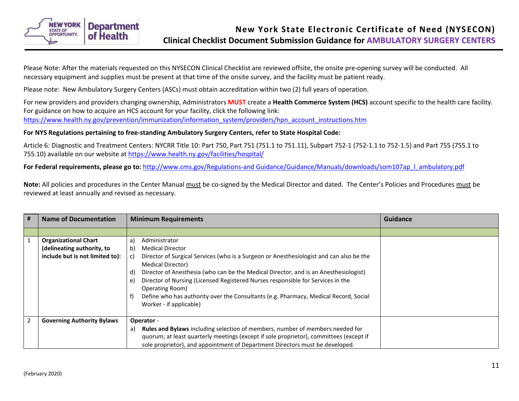<span id="page-10-0"></span>

Please Note: After the materials requested on this NYSECON Clinical Checklist are reviewed offsite, the onsite pre-opening survey will be conducted. All necessary equipment and supplies must be present at that time of the onsite survey, and the facility must be patient ready.

Please note: New Ambulatory Surgery Centers (ASCs) must obtain accreditation within two (2) full years of operation.

For new providers and providers changing ownership, Administrators **MUST** create a **Health Commerce System (HCS)** account specific to the health care facility. For guidance on how to acquire an HCS account for your facility, click the following link: [https://www.health.ny.gov/prevention/immunization/information\\_system/providers/hpn\\_account\\_instructions.htm](https://www.health.ny.gov/prevention/immunization/information_system/providers/hpn_account_instructions.htm)

## **For NYS Regulations pertaining to free-standing Ambulatory Surgery Centers, refer to State Hospital Code:**

Article 6: Diagnostic and Treatment Centers: NYCRR Title 10: Part 750, Part 751 (751.1 to 751.11), Subpart 752-1 (752-1.1 to 752-1.5) and Part 755 (755.1 to 755.10) available on our website a[t https://www.health.ny.gov/facilities/hospital/](https://www.health.ny.gov/facilities/hospital/)

**For Federal requirements, please go to:** [http://www.cms.gov/Regulations-and Guidance/Guidance/Manuals/downloads/som107ap\\_l\\_ambulatory.pdf](http://www.cms.gov/Regulations-and%20Guidance/Guidance/Manuals/downloads/som107ap_l_ambulatory.pdf)

**Note:** All policies and procedures in the Center Manual must be co-signed by the Medical Director and dated. The Center's Policies and Procedures must be reviewed at least annually and revised as necessary.

| # | <b>Name of Documentation</b>      | <b>Minimum Requirements</b>                                                                                                                                                                                                                                                                                                                                                                                                                     | Guidance |
|---|-----------------------------------|-------------------------------------------------------------------------------------------------------------------------------------------------------------------------------------------------------------------------------------------------------------------------------------------------------------------------------------------------------------------------------------------------------------------------------------------------|----------|
|   |                                   |                                                                                                                                                                                                                                                                                                                                                                                                                                                 |          |
|   | <b>Organizational Chart</b>       | Administrator<br>a)                                                                                                                                                                                                                                                                                                                                                                                                                             |          |
|   | (delineating authority, to        | <b>Medical Director</b><br>b)                                                                                                                                                                                                                                                                                                                                                                                                                   |          |
|   | include but is not limited to):   | Director of Surgical Services (who is a Surgeon or Anesthesiologist and can also be the<br>c)<br>Medical Director)<br>Director of Anesthesia (who can be the Medical Director, and is an Anesthesiologist)<br>d)<br>Director of Nursing (Licensed Registered Nurses responsible for Services in the<br>e)<br>Operating Room)<br>Define who has authority over the Consultants (e.g. Pharmacy, Medical Record, Social<br>Worker - if applicable) |          |
| 2 | <b>Governing Authority Bylaws</b> | Operator -                                                                                                                                                                                                                                                                                                                                                                                                                                      |          |
|   |                                   | Rules and Bylaws including selection of members, number of members needed for<br>a)                                                                                                                                                                                                                                                                                                                                                             |          |
|   |                                   | quorum; at least quarterly meetings (except if sole proprietor), committees (except if                                                                                                                                                                                                                                                                                                                                                          |          |
|   |                                   | sole proprietor), and appointment of Department Directors must be developed.                                                                                                                                                                                                                                                                                                                                                                    |          |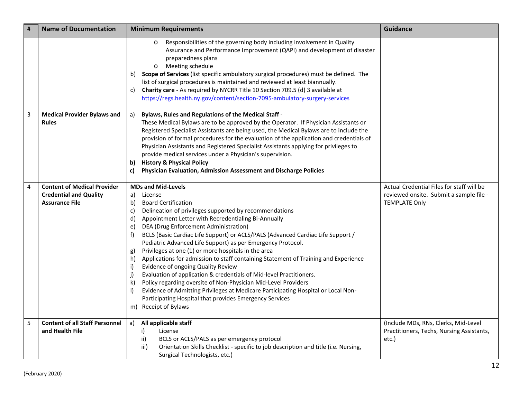| # | <b>Name of Documentation</b>                                                                 | <b>Minimum Requirements</b>                                                                                                                                                                                                                                                                                                                                                                                                                                                                                                                                                                                                                                                                                                                                                                                                                                                                                                                                           | <b>Guidance</b>                                                                                              |
|---|----------------------------------------------------------------------------------------------|-----------------------------------------------------------------------------------------------------------------------------------------------------------------------------------------------------------------------------------------------------------------------------------------------------------------------------------------------------------------------------------------------------------------------------------------------------------------------------------------------------------------------------------------------------------------------------------------------------------------------------------------------------------------------------------------------------------------------------------------------------------------------------------------------------------------------------------------------------------------------------------------------------------------------------------------------------------------------|--------------------------------------------------------------------------------------------------------------|
|   |                                                                                              | Responsibilities of the governing body including involvement in Quality<br>$\circ$<br>Assurance and Performance Improvement (QAPI) and development of disaster<br>preparedness plans<br>Meeting schedule<br>$\circ$<br>Scope of Services (list specific ambulatory surgical procedures) must be defined. The<br>b)<br>list of surgical procedures is maintained and reviewed at least biannually.<br>Charity care - As required by NYCRR Title 10 Section 709.5 (d) 3 available at<br>C)<br>https://regs.health.ny.gov/content/section-7095-ambulatory-surgery-services                                                                                                                                                                                                                                                                                                                                                                                               |                                                                                                              |
| 3 | <b>Medical Provider Bylaws and</b><br><b>Rules</b>                                           | Bylaws, Rules and Regulations of the Medical Staff -<br>a)<br>These Medical Bylaws are to be approved by the Operator. If Physician Assistants or<br>Registered Specialist Assistants are being used, the Medical Bylaws are to include the<br>provision of formal procedures for the evaluation of the application and credentials of<br>Physician Assistants and Registered Specialist Assistants applying for privileges to<br>provide medical services under a Physician's supervision.<br><b>History &amp; Physical Policy</b><br>b)<br>Physician Evaluation, Admission Assessment and Discharge Policies<br>C)                                                                                                                                                                                                                                                                                                                                                  |                                                                                                              |
| 4 | <b>Content of Medical Provider</b><br><b>Credential and Quality</b><br><b>Assurance File</b> | <b>MDs and Mid-Levels</b><br>License<br>a)<br><b>Board Certification</b><br>b)<br>Delineation of privileges supported by recommendations<br>c)<br>Appointment Letter with Recredentialing Bi-Annually<br>d)<br>DEA (Drug Enforcement Administration)<br>e)<br>BCLS (Basic Cardiac Life Support) or ACLS/PALS (Advanced Cardiac Life Support /<br>f)<br>Pediatric Advanced Life Support) as per Emergency Protocol.<br>Privileges at one (1) or more hospitals in the area<br>g)<br>Applications for admission to staff containing Statement of Training and Experience<br>h)<br>Evidence of ongoing Quality Review<br>i)<br>Evaluation of application & credentials of Mid-level Practitioners.<br>j)<br>Policy regarding oversite of Non-Physician Mid-Level Providers<br>k)<br>Evidence of Admitting Privileges at Medicare Participating Hospital or Local Non-<br>$\mathsf{I}$<br>Participating Hospital that provides Emergency Services<br>m) Receipt of Bylaws | Actual Credential Files for staff will be<br>reviewed onsite. Submit a sample file -<br><b>TEMPLATE Only</b> |
| 5 | <b>Content of all Staff Personnel</b><br>and Health File                                     | All applicable staff<br>a)<br>i)<br>License<br>BCLS or ACLS/PALS as per emergency protocol<br>ii)<br>Orientation Skills Checklist - specific to job description and title (i.e. Nursing,<br>iii)<br>Surgical Technologists, etc.)                                                                                                                                                                                                                                                                                                                                                                                                                                                                                                                                                                                                                                                                                                                                     | (Include MDs, RNs, Clerks, Mid-Level<br>Practitioners, Techs, Nursing Assistants,<br>etc.)                   |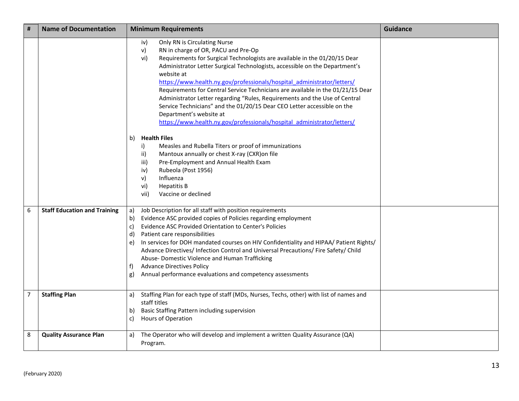| #      | <b>Name of Documentation</b>                                | <b>Minimum Requirements</b>                                                                                                                                                                                                                                                                                                                                                                                                                                                                                                                                                                                                                                                                                                                                                                                                                                                                                                                                                                                      | <b>Guidance</b> |
|--------|-------------------------------------------------------------|------------------------------------------------------------------------------------------------------------------------------------------------------------------------------------------------------------------------------------------------------------------------------------------------------------------------------------------------------------------------------------------------------------------------------------------------------------------------------------------------------------------------------------------------------------------------------------------------------------------------------------------------------------------------------------------------------------------------------------------------------------------------------------------------------------------------------------------------------------------------------------------------------------------------------------------------------------------------------------------------------------------|-----------------|
|        |                                                             | Only RN is Circulating Nurse<br>iv)<br>RN in charge of OR, PACU and Pre-Op<br>v)<br>vi)<br>Requirements for Surgical Technologists are available in the 01/20/15 Dear<br>Administrator Letter Surgical Technologists, accessible on the Department's<br>website at<br>https://www.health.ny.gov/professionals/hospital administrator/letters/<br>Requirements for Central Service Technicians are available in the 01/21/15 Dear<br>Administrator Letter regarding "Rules, Requirements and the Use of Central<br>Service Technicians" and the 01/20/15 Dear CEO Letter accessible on the<br>Department's website at<br>https://www.health.ny.gov/professionals/hospital administrator/letters/<br><b>Health Files</b><br>b)<br>Measles and Rubella Titers or proof of immunizations<br>i)<br>Mantoux annually or chest X-ray (CXR) on file<br>ii)<br>Pre-Employment and Annual Health Exam<br>iii)<br>Rubeola (Post 1956)<br>iv)<br>v)<br>Influenza<br>vi)<br><b>Hepatitis B</b><br>Vaccine or declined<br>vii) |                 |
| 6<br>7 | <b>Staff Education and Training</b><br><b>Staffing Plan</b> | Job Description for all staff with position requirements<br>a)<br>Evidence ASC provided copies of Policies regarding employment<br>b)<br>Evidence ASC Provided Orientation to Center's Policies<br>c)<br>d)<br>Patient care responsibilities<br>In services for DOH mandated courses on HIV Confidentiality and HIPAA/ Patient Rights/<br>e)<br>Advance Directives/Infection Control and Universal Precautions/Fire Safety/Child<br>Abuse- Domestic Violence and Human Trafficking<br><b>Advance Directives Policy</b><br>f)<br>Annual performance evaluations and competency assessments<br>g)<br>Staffing Plan for each type of staff (MDs, Nurses, Techs, other) with list of names and<br>a)                                                                                                                                                                                                                                                                                                                 |                 |
|        |                                                             | staff titles<br>Basic Staffing Pattern including supervision<br>b)<br>Hours of Operation<br>c)                                                                                                                                                                                                                                                                                                                                                                                                                                                                                                                                                                                                                                                                                                                                                                                                                                                                                                                   |                 |
| 8      | <b>Quality Assurance Plan</b>                               | The Operator who will develop and implement a written Quality Assurance (QA)<br>a)<br>Program.                                                                                                                                                                                                                                                                                                                                                                                                                                                                                                                                                                                                                                                                                                                                                                                                                                                                                                                   |                 |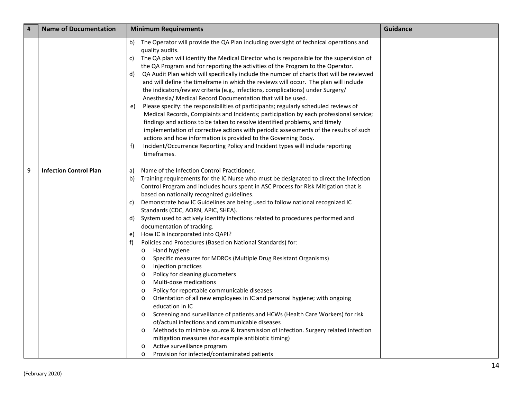| # | <b>Name of Documentation</b>  | <b>Minimum Requirements</b>                                                                                                                                                                                                                                                                                                                                                                                                                                                                                                                                                                                                                                                                                                                                                                                                                                                                                                                                                                                                                                                                                                                                                                                                                                                                                                                                                                                                                                            | <b>Guidance</b> |
|---|-------------------------------|------------------------------------------------------------------------------------------------------------------------------------------------------------------------------------------------------------------------------------------------------------------------------------------------------------------------------------------------------------------------------------------------------------------------------------------------------------------------------------------------------------------------------------------------------------------------------------------------------------------------------------------------------------------------------------------------------------------------------------------------------------------------------------------------------------------------------------------------------------------------------------------------------------------------------------------------------------------------------------------------------------------------------------------------------------------------------------------------------------------------------------------------------------------------------------------------------------------------------------------------------------------------------------------------------------------------------------------------------------------------------------------------------------------------------------------------------------------------|-----------------|
|   |                               | The Operator will provide the QA Plan including oversight of technical operations and<br>b)<br>quality audits.<br>The QA plan will identify the Medical Director who is responsible for the supervision of<br>C)<br>the QA Program and for reporting the activities of the Program to the Operator.<br>QA Audit Plan which will specifically include the number of charts that will be reviewed<br>d)<br>and will define the timeframe in which the reviews will occur. The plan will include<br>the indicators/review criteria (e.g., infections, complications) under Surgery/<br>Anesthesia/ Medical Record Documentation that will be used.<br>Please specify: the responsibilities of participants; regularly scheduled reviews of<br>e)<br>Medical Records, Complaints and Incidents; participation by each professional service;<br>findings and actions to be taken to resolve identified problems, and timely<br>implementation of corrective actions with periodic assessments of the results of such<br>actions and how information is provided to the Governing Body.<br>Incident/Occurrence Reporting Policy and Incident types will include reporting<br>f)<br>timeframes.                                                                                                                                                                                                                                                                               |                 |
| 9 | <b>Infection Control Plan</b> | Name of the Infection Control Practitioner.<br>a)<br>Training requirements for the IC Nurse who must be designated to direct the Infection<br>b)<br>Control Program and includes hours spent in ASC Process for Risk Mitigation that is<br>based on nationally recognized guidelines.<br>Demonstrate how IC Guidelines are being used to follow national recognized IC<br>C)<br>Standards (CDC, AORN, APIC, SHEA).<br>System used to actively identify infections related to procedures performed and<br>d)<br>documentation of tracking.<br>How IC is incorporated into QAPI?<br>e)<br>Policies and Procedures (Based on National Standards) for:<br>f)<br>Hand hygiene<br>$\circ$<br>Specific measures for MDROs (Multiple Drug Resistant Organisms)<br>$\circ$<br>Injection practices<br>$\circ$<br>Policy for cleaning glucometers<br>$\circ$<br>Multi-dose medications<br>$\circ$<br>Policy for reportable communicable diseases<br>$\circ$<br>Orientation of all new employees in IC and personal hygiene; with ongoing<br>$\circ$<br>education in IC<br>Screening and surveillance of patients and HCWs (Health Care Workers) for risk<br>$\circ$<br>of/actual infections and communicable diseases<br>Methods to minimize source & transmission of infection. Surgery related infection<br>$\circ$<br>mitigation measures (for example antibiotic timing)<br>Active surveillance program<br>$\circ$<br>Provision for infected/contaminated patients<br>$\circ$ |                 |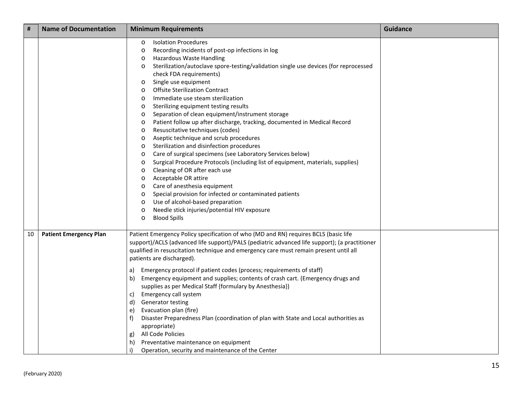| #  | <b>Name of Documentation</b>  | <b>Minimum Requirements</b>                                                                                                                                                                                                                                                                                                                                                                                                                                                                                                                                                                                                                                                                                                                                                                                                                                                                                                                                                                                                                                                                                                                                                                                                                                                                                 | <b>Guidance</b> |
|----|-------------------------------|-------------------------------------------------------------------------------------------------------------------------------------------------------------------------------------------------------------------------------------------------------------------------------------------------------------------------------------------------------------------------------------------------------------------------------------------------------------------------------------------------------------------------------------------------------------------------------------------------------------------------------------------------------------------------------------------------------------------------------------------------------------------------------------------------------------------------------------------------------------------------------------------------------------------------------------------------------------------------------------------------------------------------------------------------------------------------------------------------------------------------------------------------------------------------------------------------------------------------------------------------------------------------------------------------------------|-----------------|
|    |                               | <b>Isolation Procedures</b><br>$\circ$<br>Recording incidents of post-op infections in log<br>$\circ$<br>Hazardous Waste Handling<br>$\circ$<br>Sterilization/autoclave spore-testing/validation single use devices (for reprocessed<br>$\circ$<br>check FDA requirements)<br>Single use equipment<br>$\circ$<br><b>Offsite Sterilization Contract</b><br>$\circ$<br>Immediate use steam sterilization<br>$\circ$<br>Sterilizing equipment testing results<br>$\circ$<br>Separation of clean equipment/instrument storage<br>$\circ$<br>Patient follow up after discharge, tracking, documented in Medical Record<br>$\circ$<br>Resuscitative techniques (codes)<br>$\circ$<br>Aseptic technique and scrub procedures<br>$\circ$<br>Sterilization and disinfection procedures<br>$\circ$<br>Care of surgical specimens (see Laboratory Services below)<br>$\circ$<br>Surgical Procedure Protocols (including list of equipment, materials, supplies)<br>$\circ$<br>Cleaning of OR after each use<br>$\circ$<br>Acceptable OR attire<br>$\circ$<br>Care of anesthesia equipment<br>$\circ$<br>Special provision for infected or contaminated patients<br>$\circ$<br>Use of alcohol-based preparation<br>$\circ$<br>Needle stick injuries/potential HIV exposure<br>$\circ$<br><b>Blood Spills</b><br>$\circ$ |                 |
| 10 | <b>Patient Emergency Plan</b> | Patient Emergency Policy specification of who (MD and RN) requires BCLS (basic life<br>support)/ACLS (advanced life support)/PALS (pediatric advanced life support); (a practitioner<br>qualified in resuscitation technique and emergency care must remain present until all<br>patients are discharged).<br>Emergency protocol if patient codes (process; requirements of staff)<br>a)<br>Emergency equipment and supplies; contents of crash cart. (Emergency drugs and<br>b)<br>supplies as per Medical Staff {formulary by Anesthesia})<br>Emergency call system<br>C)<br>Generator testing<br>d)<br>Evacuation plan (fire)<br>e)<br>Disaster Preparedness Plan (coordination of plan with State and Local authorities as<br>f<br>appropriate)<br>All Code Policies<br>g)<br>Preventative maintenance on equipment<br>h)<br>i)<br>Operation, security and maintenance of the Center                                                                                                                                                                                                                                                                                                                                                                                                                    |                 |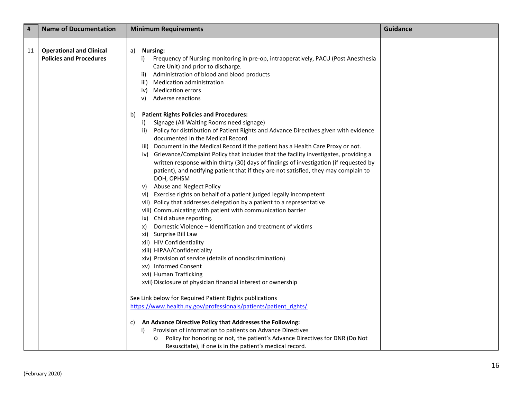| #  | <b>Name of Documentation</b>                                      | <b>Minimum Requirements</b>                                                                                                                                                                                                                                                                                                                                                                                                                                                                                                                                                                                                                                                                                                                                                                                                                                                                                                                                                                                                                                                                                                                                                                                                                                                                                                                                                                                                                                                                                                                                                                                                                                                        | <b>Guidance</b> |
|----|-------------------------------------------------------------------|------------------------------------------------------------------------------------------------------------------------------------------------------------------------------------------------------------------------------------------------------------------------------------------------------------------------------------------------------------------------------------------------------------------------------------------------------------------------------------------------------------------------------------------------------------------------------------------------------------------------------------------------------------------------------------------------------------------------------------------------------------------------------------------------------------------------------------------------------------------------------------------------------------------------------------------------------------------------------------------------------------------------------------------------------------------------------------------------------------------------------------------------------------------------------------------------------------------------------------------------------------------------------------------------------------------------------------------------------------------------------------------------------------------------------------------------------------------------------------------------------------------------------------------------------------------------------------------------------------------------------------------------------------------------------------|-----------------|
|    |                                                                   |                                                                                                                                                                                                                                                                                                                                                                                                                                                                                                                                                                                                                                                                                                                                                                                                                                                                                                                                                                                                                                                                                                                                                                                                                                                                                                                                                                                                                                                                                                                                                                                                                                                                                    |                 |
| 11 | <b>Operational and Clinical</b><br><b>Policies and Procedures</b> | a) Nursing:<br>i) Frequency of Nursing monitoring in pre-op, intraoperatively, PACU (Post Anesthesia<br>Care Unit) and prior to discharge.<br>ii) Administration of blood and blood products<br>iii) Medication administration<br><b>Medication errors</b><br>iv)<br>Adverse reactions<br>V)                                                                                                                                                                                                                                                                                                                                                                                                                                                                                                                                                                                                                                                                                                                                                                                                                                                                                                                                                                                                                                                                                                                                                                                                                                                                                                                                                                                       |                 |
|    |                                                                   | <b>Patient Rights Policies and Procedures:</b><br>b)<br>Signage (All Waiting Rooms need signage)<br>i)<br>Policy for distribution of Patient Rights and Advance Directives given with evidence<br>ii)<br>documented in the Medical Record<br>iii) Document in the Medical Record if the patient has a Health Care Proxy or not.<br>iv) Grievance/Complaint Policy that includes that the facility investigates, providing a<br>written response within thirty (30) days of findings of investigation (if requested by<br>patient), and notifying patient that if they are not satisfied, they may complain to<br>DOH, OPHSM<br>Abuse and Neglect Policy<br>V)<br>vi) Exercise rights on behalf of a patient judged legally incompetent<br>vii) Policy that addresses delegation by a patient to a representative<br>viii) Communicating with patient with communication barrier<br>ix) Child abuse reporting.<br>Domestic Violence - Identification and treatment of victims<br>X)<br>xi) Surprise Bill Law<br>xii) HIV Confidentiality<br>xiii) HIPAA/Confidentiality<br>xiv) Provision of service (details of nondiscrimination)<br>xv) Informed Consent<br>xvi) Human Trafficking<br>xvii) Disclosure of physician financial interest or ownership<br>See Link below for Required Patient Rights publications<br>https://www.health.ny.gov/professionals/patients/patient rights/<br>An Advance Directive Policy that Addresses the Following:<br>C)<br>Provision of information to patients on Advance Directives<br>i)<br>Policy for honoring or not, the patient's Advance Directives for DNR (Do Not<br>$\circ$<br>Resuscitate), if one is in the patient's medical record. |                 |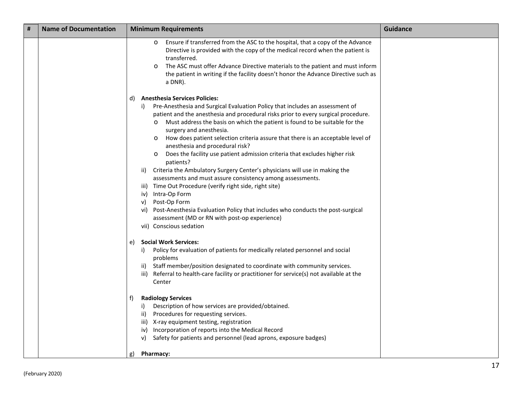| #<br><b>Name of Documentation</b> |  | <b>Minimum Requirements</b>                                                                                                                                                                                                                                                                                                                                                                                                                                                                                                                                                                                                                                                                                                                                                                                                                                                                                                                                        | <b>Guidance</b> |
|-----------------------------------|--|--------------------------------------------------------------------------------------------------------------------------------------------------------------------------------------------------------------------------------------------------------------------------------------------------------------------------------------------------------------------------------------------------------------------------------------------------------------------------------------------------------------------------------------------------------------------------------------------------------------------------------------------------------------------------------------------------------------------------------------------------------------------------------------------------------------------------------------------------------------------------------------------------------------------------------------------------------------------|-----------------|
|                                   |  | Ensure if transferred from the ASC to the hospital, that a copy of the Advance<br>$\circ$<br>Directive is provided with the copy of the medical record when the patient is<br>transferred.<br>The ASC must offer Advance Directive materials to the patient and must inform<br>$\circ$<br>the patient in writing if the facility doesn't honor the Advance Directive such as<br>a DNR).                                                                                                                                                                                                                                                                                                                                                                                                                                                                                                                                                                            |                 |
|                                   |  | <b>Anesthesia Services Policies:</b><br>d)                                                                                                                                                                                                                                                                                                                                                                                                                                                                                                                                                                                                                                                                                                                                                                                                                                                                                                                         |                 |
|                                   |  | Pre-Anesthesia and Surgical Evaluation Policy that includes an assessment of<br>i)<br>patient and the anesthesia and procedural risks prior to every surgical procedure.<br>Must address the basis on which the patient is found to be suitable for the<br>$\circ$<br>surgery and anesthesia.<br>How does patient selection criteria assure that there is an acceptable level of<br>$\circ$<br>anesthesia and procedural risk?<br>Does the facility use patient admission criteria that excludes higher risk<br>$\circ$<br>patients?<br>Criteria the Ambulatory Surgery Center's physicians will use in making the<br>ii)<br>assessments and must assure consistency among assessments.<br>iii) Time Out Procedure (verify right side, right site)<br>iv) Intra-Op Form<br>Post-Op Form<br>V)<br>Post-Anesthesia Evaluation Policy that includes who conducts the post-surgical<br>vi)<br>assessment (MD or RN with post-op experience)<br>vii) Conscious sedation |                 |
|                                   |  | <b>Social Work Services:</b><br>e)                                                                                                                                                                                                                                                                                                                                                                                                                                                                                                                                                                                                                                                                                                                                                                                                                                                                                                                                 |                 |
|                                   |  | Policy for evaluation of patients for medically related personnel and social<br>i)<br>problems<br>Staff member/position designated to coordinate with community services.<br>Referral to health-care facility or practitioner for service(s) not available at the<br>iii)<br>Center                                                                                                                                                                                                                                                                                                                                                                                                                                                                                                                                                                                                                                                                                |                 |
|                                   |  | <b>Radiology Services</b><br>f)                                                                                                                                                                                                                                                                                                                                                                                                                                                                                                                                                                                                                                                                                                                                                                                                                                                                                                                                    |                 |
|                                   |  | Description of how services are provided/obtained.<br>i)<br>Procedures for requesting services.<br>ii)<br>iii) X-ray equipment testing, registration<br>Incorporation of reports into the Medical Record<br>iv)<br>Safety for patients and personnel (lead aprons, exposure badges)<br>v)<br>Pharmacy:<br>g)                                                                                                                                                                                                                                                                                                                                                                                                                                                                                                                                                                                                                                                       |                 |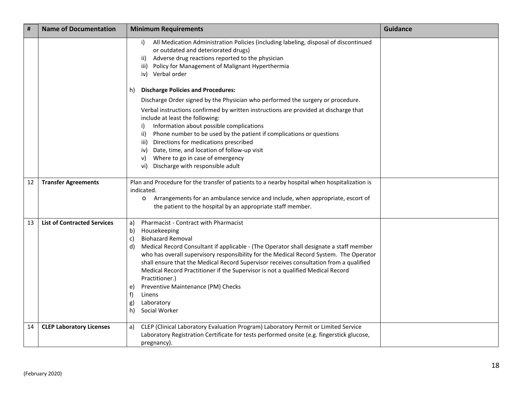| #  | <b>Name of Documentation</b>       | <b>Minimum Requirements</b>                                                                                                                                                                                                                                                                                                                                                                                                                                                                                                                                                                         | <b>Guidance</b> |
|----|------------------------------------|-----------------------------------------------------------------------------------------------------------------------------------------------------------------------------------------------------------------------------------------------------------------------------------------------------------------------------------------------------------------------------------------------------------------------------------------------------------------------------------------------------------------------------------------------------------------------------------------------------|-----------------|
|    |                                    | All Medication Administration Policies (including labeling, disposal of discontinued<br>i)<br>or outdated and deteriorated drugs)<br>Adverse drug reactions reported to the physician<br>ii)<br>iii) Policy for Management of Malignant Hyperthermia<br>Verbal order<br>iv)                                                                                                                                                                                                                                                                                                                         |                 |
|    |                                    | <b>Discharge Policies and Procedures:</b><br>h)                                                                                                                                                                                                                                                                                                                                                                                                                                                                                                                                                     |                 |
|    |                                    | Discharge Order signed by the Physician who performed the surgery or procedure.<br>Verbal instructions confirmed by written instructions are provided at discharge that<br>include at least the following:<br>Information about possible complications<br>i)<br>Phone number to be used by the patient if complications or questions<br>ii)<br>Directions for medications prescribed<br>iii)<br>Date, time, and location of follow-up visit<br>iv)<br>Where to go in case of emergency<br>V)<br>Discharge with responsible adult<br>vi)                                                             |                 |
| 12 | <b>Transfer Agreements</b>         | Plan and Procedure for the transfer of patients to a nearby hospital when hospitalization is<br>indicated.<br>Arrangements for an ambulance service and include, when appropriate, escort of<br>$\circ$<br>the patient to the hospital by an appropriate staff member.                                                                                                                                                                                                                                                                                                                              |                 |
| 13 | <b>List of Contracted Services</b> | Pharmacist - Contract with Pharmacist<br>a)<br>b)<br>Housekeeping<br><b>Biohazard Removal</b><br>c)<br>Medical Record Consultant if applicable - (The Operator shall designate a staff member<br>d)<br>who has overall supervisory responsibility for the Medical Record System. The Operator<br>shall ensure that the Medical Record Supervisor receives consultation from a qualified<br>Medical Record Practitioner if the Supervisor is not a qualified Medical Record<br>Practitioner.)<br>Preventive Maintenance (PM) Checks<br>e)<br>f)<br>Linens<br>Laboratory<br>g)<br>h)<br>Social Worker |                 |
| 14 | <b>CLEP Laboratory Licenses</b>    | CLEP (Clinical Laboratory Evaluation Program) Laboratory Permit or Limited Service<br>a)<br>Laboratory Registration Certificate for tests performed onsite (e.g. fingerstick glucose,<br>pregnancy).                                                                                                                                                                                                                                                                                                                                                                                                |                 |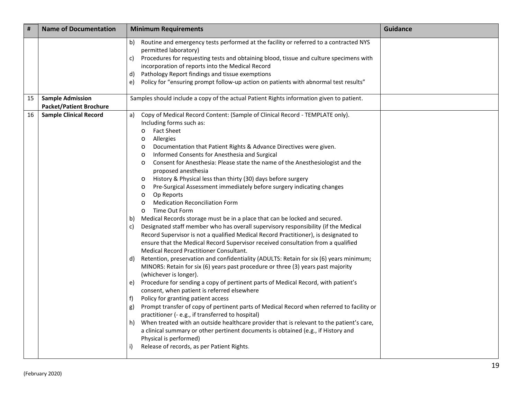| #  | <b>Name of Documentation</b>                              | <b>Minimum Requirements</b>                                                                                                                                                                                                                                                                                                                                                                                                                                                                                                                                                                                                                                                                                                                                                                                                                                                                                                                                                                                                                                                                                                                                                                                                                                                                                                                                                                                                                                                                                                                                                                                                                                                                                                                                                                                                                                                                                                                           | <b>Guidance</b> |
|----|-----------------------------------------------------------|-------------------------------------------------------------------------------------------------------------------------------------------------------------------------------------------------------------------------------------------------------------------------------------------------------------------------------------------------------------------------------------------------------------------------------------------------------------------------------------------------------------------------------------------------------------------------------------------------------------------------------------------------------------------------------------------------------------------------------------------------------------------------------------------------------------------------------------------------------------------------------------------------------------------------------------------------------------------------------------------------------------------------------------------------------------------------------------------------------------------------------------------------------------------------------------------------------------------------------------------------------------------------------------------------------------------------------------------------------------------------------------------------------------------------------------------------------------------------------------------------------------------------------------------------------------------------------------------------------------------------------------------------------------------------------------------------------------------------------------------------------------------------------------------------------------------------------------------------------------------------------------------------------------------------------------------------------|-----------------|
|    |                                                           | Routine and emergency tests performed at the facility or referred to a contracted NYS<br>b)<br>permitted laboratory)<br>Procedures for requesting tests and obtaining blood, tissue and culture specimens with<br>c)<br>incorporation of reports into the Medical Record<br>Pathology Report findings and tissue exemptions<br>d)<br>Policy for "ensuring prompt follow-up action on patients with abnormal test results"<br>e)                                                                                                                                                                                                                                                                                                                                                                                                                                                                                                                                                                                                                                                                                                                                                                                                                                                                                                                                                                                                                                                                                                                                                                                                                                                                                                                                                                                                                                                                                                                       |                 |
| 15 | <b>Sample Admission</b><br><b>Packet/Patient Brochure</b> | Samples should include a copy of the actual Patient Rights information given to patient.                                                                                                                                                                                                                                                                                                                                                                                                                                                                                                                                                                                                                                                                                                                                                                                                                                                                                                                                                                                                                                                                                                                                                                                                                                                                                                                                                                                                                                                                                                                                                                                                                                                                                                                                                                                                                                                              |                 |
| 16 | <b>Sample Clinical Record</b>                             | Copy of Medical Record Content: (Sample of Clinical Record - TEMPLATE only).<br>a)<br>Including forms such as:<br><b>Fact Sheet</b><br>$\circ$<br>Allergies<br>$\circ$<br>Documentation that Patient Rights & Advance Directives were given.<br>$\circ$<br>Informed Consents for Anesthesia and Surgical<br>$\circ$<br>Consent for Anesthesia: Please state the name of the Anesthesiologist and the<br>$\circ$<br>proposed anesthesia<br>History & Physical less than thirty (30) days before surgery<br>$\circ$<br>Pre-Surgical Assessment immediately before surgery indicating changes<br>$\circ$<br>Op Reports<br>$\circ$<br><b>Medication Reconciliation Form</b><br>$\circ$<br>Time Out Form<br>$\circ$<br>Medical Records storage must be in a place that can be locked and secured.<br>b)<br>Designated staff member who has overall supervisory responsibility (if the Medical<br>C)<br>Record Supervisor is not a qualified Medical Record Practitioner), is designated to<br>ensure that the Medical Record Supervisor received consultation from a qualified<br>Medical Record Practitioner Consultant.<br>Retention, preservation and confidentiality (ADULTS: Retain for six (6) years minimum;<br>d)<br>MINORS: Retain for six (6) years past procedure or three (3) years past majority<br>(whichever is longer).<br>Procedure for sending a copy of pertinent parts of Medical Record, with patient's<br>e)<br>consent, when patient is referred elsewhere<br>Policy for granting patient access<br>f)<br>Prompt transfer of copy of pertinent parts of Medical Record when referred to facility or<br>g)<br>practitioner (- e.g., if transferred to hospital)<br>When treated with an outside healthcare provider that is relevant to the patient's care,<br>h)<br>a clinical summary or other pertinent documents is obtained (e.g., if History and<br>Physical is performed)<br>Release of records, as per Patient Rights.<br>i) |                 |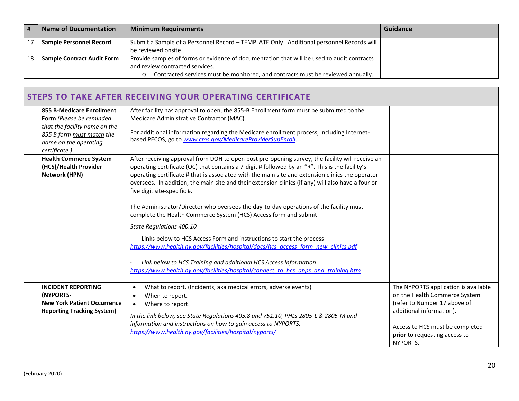|    | <b>Name of Documentation</b>                                                                                                    | <b>Minimum Requirements</b>                                                     | Guidance |
|----|---------------------------------------------------------------------------------------------------------------------------------|---------------------------------------------------------------------------------|----------|
|    | Submit a Sample of a Personnel Record - TEMPLATE Only. Additional personnel Records will<br><b>Sample Personnel Record</b>      |                                                                                 |          |
|    |                                                                                                                                 | be reviewed onsite                                                              |          |
| 18 | Provide samples of forms or evidence of documentation that will be used to audit contracts<br><b>Sample Contract Audit Form</b> |                                                                                 |          |
|    |                                                                                                                                 | and review contracted services.                                                 |          |
|    |                                                                                                                                 | Contracted services must be monitored, and contracts must be reviewed annually. |          |

# **STEPS TO TAKE AFTER RECEIVING YOUR OPERATING CERTIFICATE**

| <b>855 B-Medicare Enrollment</b><br>Form (Please be reminded<br>that the facility name on the<br>855 B form must match the<br>name on the operating<br>certificate.) | After facility has approval to open, the 855-B Enrollment form must be submitted to the<br>Medicare Administrative Contractor (MAC).<br>For additional information regarding the Medicare enrollment process, including Internet-<br>based PECOS, go to www.cms.gov/MedicareProviderSupEnroll.                                                                                                                                                                                                                                                                                                                                                                                                                                                                                                                                                                                                                                                                |                                                                                                                                                                                                                   |
|----------------------------------------------------------------------------------------------------------------------------------------------------------------------|---------------------------------------------------------------------------------------------------------------------------------------------------------------------------------------------------------------------------------------------------------------------------------------------------------------------------------------------------------------------------------------------------------------------------------------------------------------------------------------------------------------------------------------------------------------------------------------------------------------------------------------------------------------------------------------------------------------------------------------------------------------------------------------------------------------------------------------------------------------------------------------------------------------------------------------------------------------|-------------------------------------------------------------------------------------------------------------------------------------------------------------------------------------------------------------------|
| <b>Health Commerce System</b><br>(HCS)/Health Provider<br><b>Network (HPN)</b>                                                                                       | After receiving approval from DOH to open post pre-opening survey, the facility will receive an<br>operating certificate (OC) that contains a 7-digit # followed by an "R". This is the facility's<br>operating certificate # that is associated with the main site and extension clinics the operator<br>oversees. In addition, the main site and their extension clinics (if any) will also have a four or<br>five digit site-specific #.<br>The Administrator/Director who oversees the day-to-day operations of the facility must<br>complete the Health Commerce System (HCS) Access form and submit<br>State Regulations 400.10<br>Links below to HCS Access Form and instructions to start the process<br>https://www.health.ny.gov/facilities/hospital/docs/hcs access form new clinics.pdf<br>Link below to HCS Training and additional HCS Access Information<br>https://www.health.ny.gov/facilities/hospital/connect to hcs apps and training.htm |                                                                                                                                                                                                                   |
| <b>INCIDENT REPORTING</b><br>(NYPORTS-<br><b>New York Patient Occurrence</b><br><b>Reporting Tracking System)</b>                                                    | What to report. (Incidents, aka medical errors, adverse events)<br>$\bullet$<br>When to report.<br>Where to report.<br>$\bullet$<br>In the link below, see State Regulations 405.8 and 751.10, PHLs 2805-L & 2805-M and<br>information and instructions on how to gain access to NYPORTS.<br>https://www.health.ny.gov/facilities/hospital/nyports/                                                                                                                                                                                                                                                                                                                                                                                                                                                                                                                                                                                                           | The NYPORTS application is available<br>on the Health Commerce System<br>(refer to Number 17 above of<br>additional information).<br>Access to HCS must be completed<br>prior to requesting access to<br>NYPORTS. |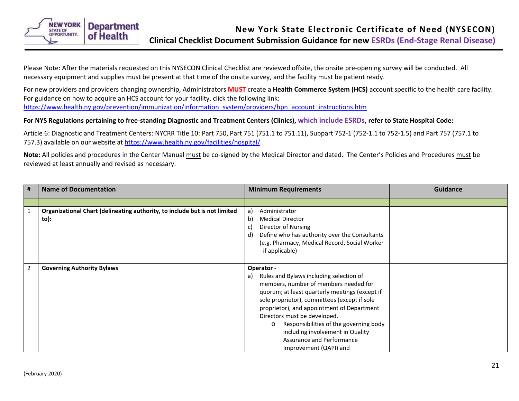<span id="page-20-0"></span>

Please Note: After the materials requested on this NYSECON Clinical Checklist are reviewed offsite, the onsite pre-opening survey will be conducted. All necessary equipment and supplies must be present at that time of the onsite survey, and the facility must be patient ready.

For new providers and providers changing ownership, Administrators **MUST** create a **Health Commerce System (HCS)** account specific to the health care facility. For guidance on how to acquire an HCS account for your facility, click the following link: [https://www.health.ny.gov/prevention/immunization/information\\_system/providers/hpn\\_account\\_instructions.htm](https://www.health.ny.gov/prevention/immunization/information_system/providers/hpn_account_instructions.htm)

### **For NYS Regulations pertaining to free-standing Diagnostic and Treatment Centers (Clinics), which include ESRDs, refer to State Hospital Code:**

Article 6: Diagnostic and Treatment Centers: NYCRR Title 10: Part 750, Part 751 (751.1 to 751.11), Subpart 752-1 (752-1.1 to 752-1.5) and Part 757 (757.1 to 757.3) available on our website at<https://www.health.ny.gov/facilities/hospital/>

**Note:** All policies and procedures in the Center Manual must be co-signed by the Medical Director and dated. The Center's Policies and Procedures must be reviewed at least annually and revised as necessary.

| # | <b>Name of Documentation</b>                                                       | <b>Minimum Requirements</b>                                                                                                                                                                                                                                                                                                                                                                                                          | <b>Guidance</b> |
|---|------------------------------------------------------------------------------------|--------------------------------------------------------------------------------------------------------------------------------------------------------------------------------------------------------------------------------------------------------------------------------------------------------------------------------------------------------------------------------------------------------------------------------------|-----------------|
|   |                                                                                    |                                                                                                                                                                                                                                                                                                                                                                                                                                      |                 |
| 1 | Organizational Chart (delineating authority, to include but is not limited<br>to): | Administrator<br>a)<br><b>Medical Director</b><br>b)<br>Director of Nursing<br>C)<br>Define who has authority over the Consultants<br>d)<br>(e.g. Pharmacy, Medical Record, Social Worker<br>- if applicable)                                                                                                                                                                                                                        |                 |
| 2 | <b>Governing Authority Bylaws</b>                                                  | Operator -<br>Rules and Bylaws including selection of<br>a)<br>members, number of members needed for<br>quorum; at least quarterly meetings (except if<br>sole proprietor), committees (except if sole<br>proprietor), and appointment of Department<br>Directors must be developed.<br>Responsibilities of the governing body<br>$\circ$<br>including involvement in Quality<br>Assurance and Performance<br>Improvement (QAPI) and |                 |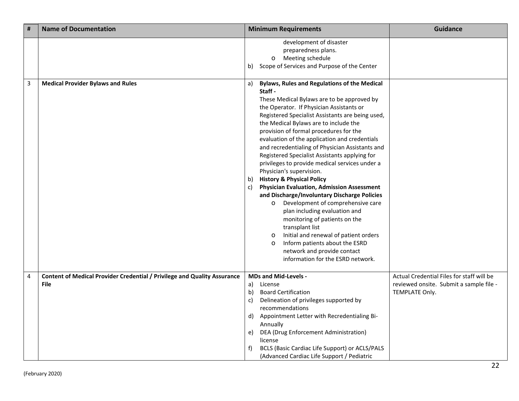| $\vert$ #      | <b>Name of Documentation</b>                                                    | <b>Minimum Requirements</b>                                                                                                                                                                                                                                                                                                                                                                                                                                                                                                                                                                                                                                                                                                                                                                                                                                                                                                                                                                                 | <b>Guidance</b>                                           |
|----------------|---------------------------------------------------------------------------------|-------------------------------------------------------------------------------------------------------------------------------------------------------------------------------------------------------------------------------------------------------------------------------------------------------------------------------------------------------------------------------------------------------------------------------------------------------------------------------------------------------------------------------------------------------------------------------------------------------------------------------------------------------------------------------------------------------------------------------------------------------------------------------------------------------------------------------------------------------------------------------------------------------------------------------------------------------------------------------------------------------------|-----------------------------------------------------------|
|                |                                                                                 | development of disaster<br>preparedness plans.<br>Meeting schedule<br>$\circ$<br>Scope of Services and Purpose of the Center<br>b).                                                                                                                                                                                                                                                                                                                                                                                                                                                                                                                                                                                                                                                                                                                                                                                                                                                                         |                                                           |
| $\overline{3}$ | <b>Medical Provider Bylaws and Rules</b>                                        | <b>Bylaws, Rules and Regulations of the Medical</b><br>a)<br>Staff -<br>These Medical Bylaws are to be approved by<br>the Operator. If Physician Assistants or<br>Registered Specialist Assistants are being used,<br>the Medical Bylaws are to include the<br>provision of formal procedures for the<br>evaluation of the application and credentials<br>and recredentialing of Physician Assistants and<br>Registered Specialist Assistants applying for<br>privileges to provide medical services under a<br>Physician's supervision.<br><b>History &amp; Physical Policy</b><br>b)<br><b>Physician Evaluation, Admission Assessment</b><br>C)<br>and Discharge/Involuntary Discharge Policies<br>Development of comprehensive care<br>$\circ$<br>plan including evaluation and<br>monitoring of patients on the<br>transplant list<br>Initial and renewal of patient orders<br>$\circ$<br>Inform patients about the ESRD<br>$\circ$<br>network and provide contact<br>information for the ESRD network. |                                                           |
| $\overline{4}$ | <b>Content of Medical Provider Credential / Privilege and Quality Assurance</b> | <b>MDs and Mid-Levels -</b>                                                                                                                                                                                                                                                                                                                                                                                                                                                                                                                                                                                                                                                                                                                                                                                                                                                                                                                                                                                 | Actual Credential Files for staff will be                 |
|                | <b>File</b>                                                                     | License<br>a)<br><b>Board Certification</b><br>b)<br>Delineation of privileges supported by<br>c)<br>recommendations<br>Appointment Letter with Recredentialing Bi-<br>d)<br>Annually<br>DEA (Drug Enforcement Administration)<br>e)<br>license<br>BCLS (Basic Cardiac Life Support) or ACLS/PALS<br>f)<br>(Advanced Cardiac Life Support / Pediatric                                                                                                                                                                                                                                                                                                                                                                                                                                                                                                                                                                                                                                                       | reviewed onsite. Submit a sample file -<br>TEMPLATE Only. |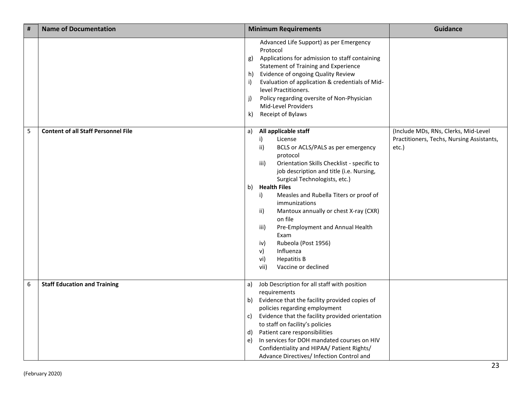| $\vert$ # | <b>Name of Documentation</b>               | <b>Minimum Requirements</b>                                                                                                                                                                                                                                                                                                                                                                                                                                                                                                                             | <b>Guidance</b>                                                                            |
|-----------|--------------------------------------------|---------------------------------------------------------------------------------------------------------------------------------------------------------------------------------------------------------------------------------------------------------------------------------------------------------------------------------------------------------------------------------------------------------------------------------------------------------------------------------------------------------------------------------------------------------|--------------------------------------------------------------------------------------------|
|           |                                            | Advanced Life Support) as per Emergency<br>Protocol<br>Applications for admission to staff containing<br>g)<br>Statement of Training and Experience<br>Evidence of ongoing Quality Review<br>h)<br>Evaluation of application & credentials of Mid-<br>i)<br>level Practitioners.<br>Policy regarding oversite of Non-Physician<br>j)<br>Mid-Level Providers<br>Receipt of Bylaws<br>k)                                                                                                                                                                  |                                                                                            |
| 5         | <b>Content of all Staff Personnel File</b> | All applicable staff<br>a)<br>i)<br>License<br>BCLS or ACLS/PALS as per emergency<br>ii)<br>protocol<br>Orientation Skills Checklist - specific to<br>iii)<br>job description and title (i.e. Nursing,<br>Surgical Technologists, etc.)<br>b) Health Files<br>Measles and Rubella Titers or proof of<br>i)<br>immunizations<br>Mantoux annually or chest X-ray (CXR)<br>ii)<br>on file<br>Pre-Employment and Annual Health<br>iii)<br>Exam<br>Rubeola (Post 1956)<br>iv)<br>Influenza<br>V)<br><b>Hepatitis B</b><br>vi)<br>vii)<br>Vaccine or declined | (Include MDs, RNs, Clerks, Mid-Level<br>Practitioners, Techs, Nursing Assistants,<br>etc.) |
| 6         | <b>Staff Education and Training</b>        | Job Description for all staff with position<br>a)<br>requirements<br>Evidence that the facility provided copies of<br>b)<br>policies regarding employment<br>Evidence that the facility provided orientation<br>C)<br>to staff on facility's policies<br>Patient care responsibilities<br>d)<br>In services for DOH mandated courses on HIV<br>e)<br>Confidentiality and HIPAA/ Patient Rights/<br>Advance Directives/ Infection Control and                                                                                                            |                                                                                            |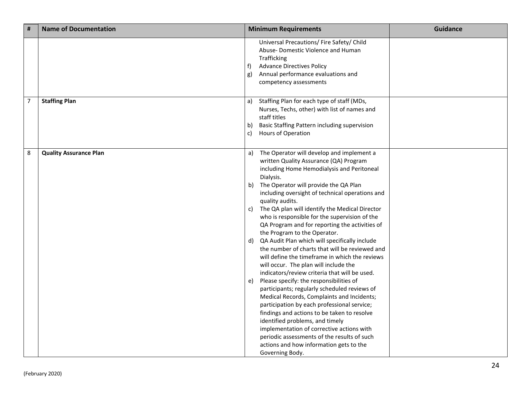| #              | <b>Name of Documentation</b>  | <b>Minimum Requirements</b>                                                                                                                                                                                                                                                                                                                                                                                                                                                                                                                                                                                                                                                                                                                                                                                                                                                                                                                                |                                                                                                                                                                                                       | <b>Guidance</b> |
|----------------|-------------------------------|------------------------------------------------------------------------------------------------------------------------------------------------------------------------------------------------------------------------------------------------------------------------------------------------------------------------------------------------------------------------------------------------------------------------------------------------------------------------------------------------------------------------------------------------------------------------------------------------------------------------------------------------------------------------------------------------------------------------------------------------------------------------------------------------------------------------------------------------------------------------------------------------------------------------------------------------------------|-------------------------------------------------------------------------------------------------------------------------------------------------------------------------------------------------------|-----------------|
|                |                               | Universal Precautions/ Fire Safety/ Child<br>Abuse-Domestic Violence and Human<br>Trafficking<br><b>Advance Directives Policy</b><br>f)<br>Annual performance evaluations and<br>g)<br>competency assessments                                                                                                                                                                                                                                                                                                                                                                                                                                                                                                                                                                                                                                                                                                                                              |                                                                                                                                                                                                       |                 |
| $\overline{7}$ | <b>Staffing Plan</b>          | Staffing Plan for each type of staff (MDs,<br>a)<br>Nurses, Techs, other) with list of names and<br>staff titles<br>Basic Staffing Pattern including supervision<br>b)<br>$\mathsf{c}$<br>Hours of Operation                                                                                                                                                                                                                                                                                                                                                                                                                                                                                                                                                                                                                                                                                                                                               |                                                                                                                                                                                                       |                 |
| 8              | <b>Quality Assurance Plan</b> | The Operator will develop and implement a<br>a)<br>written Quality Assurance (QA) Program<br>including Home Hemodialysis and Peritoneal<br>Dialysis.<br>The Operator will provide the QA Plan<br>b)<br>quality audits.<br>The QA plan will identify the Medical Director<br>C)<br>who is responsible for the supervision of the<br>the Program to the Operator.<br>QA Audit Plan which will specifically include<br>d)<br>will occur. The plan will include the<br>indicators/review criteria that will be used.<br>Please specify: the responsibilities of<br>e)<br>participants; regularly scheduled reviews of<br>Medical Records, Complaints and Incidents;<br>participation by each professional service;<br>findings and actions to be taken to resolve<br>identified problems, and timely<br>implementation of corrective actions with<br>periodic assessments of the results of such<br>actions and how information gets to the<br>Governing Body. | including oversight of technical operations and<br>QA Program and for reporting the activities of<br>the number of charts that will be reviewed and<br>will define the timeframe in which the reviews |                 |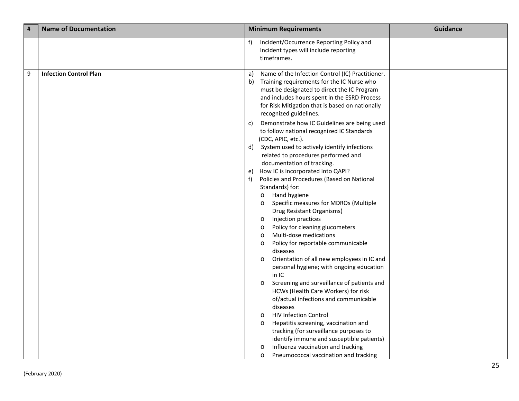| # | <b>Name of Documentation</b>  |          | <b>Minimum Requirements</b>                                                                                                                                                                                                                                                | <b>Guidance</b> |
|---|-------------------------------|----------|----------------------------------------------------------------------------------------------------------------------------------------------------------------------------------------------------------------------------------------------------------------------------|-----------------|
|   |                               | f)       | Incident/Occurrence Reporting Policy and<br>Incident types will include reporting<br>timeframes.                                                                                                                                                                           |                 |
| 9 | <b>Infection Control Plan</b> | a)<br>b) | Name of the Infection Control (IC) Practitioner.<br>Training requirements for the IC Nurse who<br>must be designated to direct the IC Program<br>and includes hours spent in the ESRD Process<br>for Risk Mitigation that is based on nationally<br>recognized guidelines. |                 |
|   |                               | C)       | Demonstrate how IC Guidelines are being used<br>to follow national recognized IC Standards<br>(CDC, APIC, etc.).                                                                                                                                                           |                 |
|   |                               | d)       | System used to actively identify infections<br>related to procedures performed and<br>documentation of tracking.                                                                                                                                                           |                 |
|   |                               | e)<br>f) | How IC is incorporated into QAPI?<br>Policies and Procedures (Based on National<br>Standards) for:                                                                                                                                                                         |                 |
|   |                               |          | Hand hygiene<br>$\circ$<br>Specific measures for MDROs (Multiple<br>$\circ$<br>Drug Resistant Organisms)                                                                                                                                                                   |                 |
|   |                               |          | Injection practices<br>$\circ$<br>Policy for cleaning glucometers<br>$\circ$<br>Multi-dose medications<br>$\circ$<br>Policy for reportable communicable<br>$\circ$                                                                                                         |                 |
|   |                               |          | diseases<br>Orientation of all new employees in IC and<br>$\circ$<br>personal hygiene; with ongoing education                                                                                                                                                              |                 |
|   |                               |          | in IC<br>Screening and surveillance of patients and<br>$\circ$<br>HCWs (Health Care Workers) for risk                                                                                                                                                                      |                 |
|   |                               |          | of/actual infections and communicable<br>diseases<br><b>HIV Infection Control</b><br>$\circ$                                                                                                                                                                               |                 |
|   |                               |          | Hepatitis screening, vaccination and<br>$\circ$<br>tracking (for surveillance purposes to<br>identify immune and susceptible patients)                                                                                                                                     |                 |
|   |                               |          | Influenza vaccination and tracking<br>$\circ$<br>Pneumococcal vaccination and tracking<br>$\circ$                                                                                                                                                                          |                 |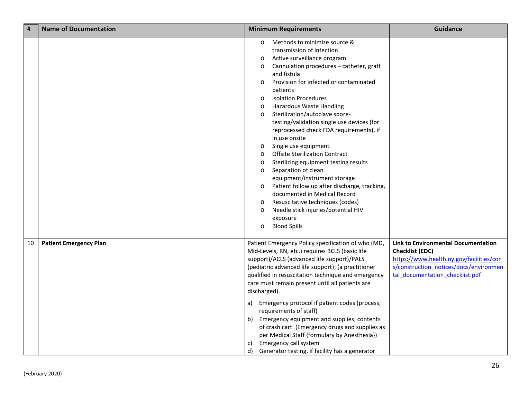| #  | <b>Name of Documentation</b>  | <b>Minimum Requirements</b>                                                                                                                                                                                                                                                                                                                                                                                                                                                                                                                                                                                                                                                                                                                                                                                                                                                                                                                                 | <b>Guidance</b>                                                                                                                                                                               |
|----|-------------------------------|-------------------------------------------------------------------------------------------------------------------------------------------------------------------------------------------------------------------------------------------------------------------------------------------------------------------------------------------------------------------------------------------------------------------------------------------------------------------------------------------------------------------------------------------------------------------------------------------------------------------------------------------------------------------------------------------------------------------------------------------------------------------------------------------------------------------------------------------------------------------------------------------------------------------------------------------------------------|-----------------------------------------------------------------------------------------------------------------------------------------------------------------------------------------------|
|    |                               | Methods to minimize source &<br>$\circ$<br>transmission of infection<br>Active surveillance program<br>$\circ$<br>Cannulation procedures - catheter, graft<br>$\circ$<br>and fistula<br>Provision for infected or contaminated<br>$\circ$<br>patients<br><b>Isolation Procedures</b><br>$\circ$<br><b>Hazardous Waste Handling</b><br>$\circ$<br>Sterilization/autoclave spore-<br>$\circ$<br>testing/validation single use devices (for<br>reprocessed check FDA requirements), if<br>in use onsite<br>Single use equipment<br>$\circ$<br><b>Offsite Sterilization Contract</b><br>$\circ$<br>Sterilizing equipment testing results<br>$\circ$<br>Separation of clean<br>$\circ$<br>equipment/instrument storage<br>Patient follow up after discharge, tracking,<br>$\circ$<br>documented in Medical Record<br>Resuscitative techniques (codes)<br>$\circ$<br>Needle stick injuries/potential HIV<br>$\circ$<br>exposure<br><b>Blood Spills</b><br>$\circ$ |                                                                                                                                                                                               |
| 10 | <b>Patient Emergency Plan</b> | Patient Emergency Policy specification of who (MD,<br>Mid-Levels, RN, etc.) requires BCLS (basic life<br>support)/ACLS (advanced life support)/PALS<br>(pediatric advanced life support); (a practitioner<br>qualified in resuscitation technique and emergency<br>care must remain present until all patients are<br>discharged).<br>Emergency protocol if patient codes (process;<br>a)<br>requirements of staff)<br>Emergency equipment and supplies; contents<br>b)<br>of crash cart. (Emergency drugs and supplies as<br>per Medical Staff {formulary by Anesthesia})<br>Emergency call system<br>C)<br>d)<br>Generator testing, if facility has a generator                                                                                                                                                                                                                                                                                           | <b>Link to Environmental Documentation</b><br><b>Checklist (EDC)</b><br>https://www.health.ny.gov/facilities/con<br>s/construction notices/docs/environmen<br>tal documentation checklist.pdf |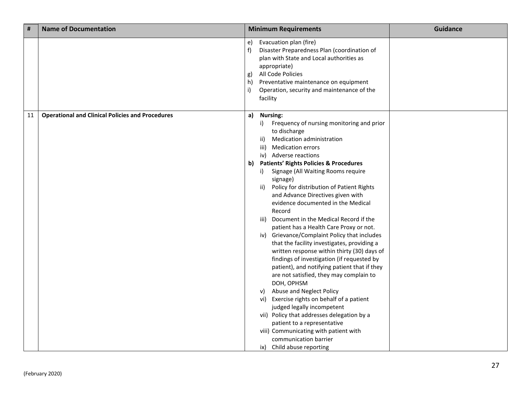| #  | <b>Name of Documentation</b>                            |                           | <b>Minimum Requirements</b>                                                                                                                                                                                                                                                                                                                                                                                                                                                                                                                                                                                                                                                                                                                                                                                                                                                                                                                                                                                                                                                                                                  | <b>Guidance</b> |
|----|---------------------------------------------------------|---------------------------|------------------------------------------------------------------------------------------------------------------------------------------------------------------------------------------------------------------------------------------------------------------------------------------------------------------------------------------------------------------------------------------------------------------------------------------------------------------------------------------------------------------------------------------------------------------------------------------------------------------------------------------------------------------------------------------------------------------------------------------------------------------------------------------------------------------------------------------------------------------------------------------------------------------------------------------------------------------------------------------------------------------------------------------------------------------------------------------------------------------------------|-----------------|
|    |                                                         | e)<br>f<br>g)<br>h)<br>i) | Evacuation plan (fire)<br>Disaster Preparedness Plan (coordination of<br>plan with State and Local authorities as<br>appropriate)<br>All Code Policies<br>Preventative maintenance on equipment<br>Operation, security and maintenance of the<br>facility                                                                                                                                                                                                                                                                                                                                                                                                                                                                                                                                                                                                                                                                                                                                                                                                                                                                    |                 |
| 11 | <b>Operational and Clinical Policies and Procedures</b> |                           | a) Nursing:<br>Frequency of nursing monitoring and prior<br>i)<br>to discharge<br><b>Medication administration</b><br>ii)<br><b>Medication errors</b><br>iii)<br>iv) Adverse reactions<br>b) Patients' Rights Policies & Procedures<br>i)<br>Signage (All Waiting Rooms require<br>signage)<br>Policy for distribution of Patient Rights<br>ii)<br>and Advance Directives given with<br>evidence documented in the Medical<br>Record<br>iii) Document in the Medical Record if the<br>patient has a Health Care Proxy or not.<br>iv) Grievance/Complaint Policy that includes<br>that the facility investigates, providing a<br>written response within thirty (30) days of<br>findings of investigation (if requested by<br>patient), and notifying patient that if they<br>are not satisfied, they may complain to<br>DOH, OPHSM<br>Abuse and Neglect Policy<br>V)<br>vi) Exercise rights on behalf of a patient<br>judged legally incompetent<br>vii) Policy that addresses delegation by a<br>patient to a representative<br>viii) Communicating with patient with<br>communication barrier<br>ix) Child abuse reporting |                 |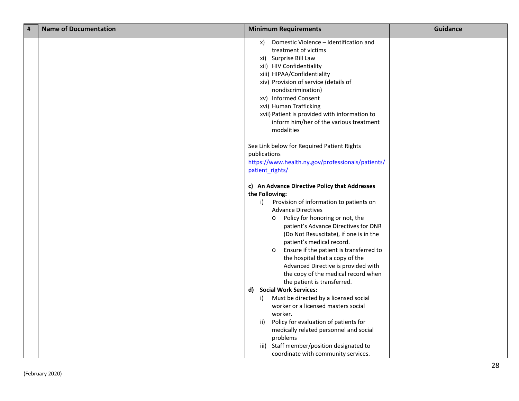| # | <b>Name of Documentation</b> | <b>Minimum Requirements</b>                                                                                                                                                                                                                                                                                                                                                                                                                   | <b>Guidance</b> |
|---|------------------------------|-----------------------------------------------------------------------------------------------------------------------------------------------------------------------------------------------------------------------------------------------------------------------------------------------------------------------------------------------------------------------------------------------------------------------------------------------|-----------------|
|   |                              | Domestic Violence - Identification and<br>x)<br>treatment of victims<br>xi) Surprise Bill Law<br>xii) HIV Confidentiality<br>xiii) HIPAA/Confidentiality<br>xiv) Provision of service (details of<br>nondiscrimination)<br>xv) Informed Consent<br>xvi) Human Trafficking<br>xvii) Patient is provided with information to<br>inform him/her of the various treatment<br>modalities                                                           |                 |
|   |                              | See Link below for Required Patient Rights<br>publications<br>https://www.health.ny.gov/professionals/patients/<br>patient rights/                                                                                                                                                                                                                                                                                                            |                 |
|   |                              | c) An Advance Directive Policy that Addresses<br>the Following:                                                                                                                                                                                                                                                                                                                                                                               |                 |
|   |                              | Provision of information to patients on<br>i)<br><b>Advance Directives</b><br>Policy for honoring or not, the<br>$\circ$<br>patient's Advance Directives for DNR<br>(Do Not Resuscitate), if one is in the<br>patient's medical record.<br>Ensure if the patient is transferred to<br>$\circ$<br>the hospital that a copy of the<br>Advanced Directive is provided with<br>the copy of the medical record when<br>the patient is transferred. |                 |
|   |                              | d) Social Work Services:<br>Must be directed by a licensed social<br>i)<br>worker or a licensed masters social<br>worker.<br>Policy for evaluation of patients for<br>ii)<br>medically related personnel and social<br>problems<br>iii) Staff member/position designated to<br>coordinate with community services.                                                                                                                            |                 |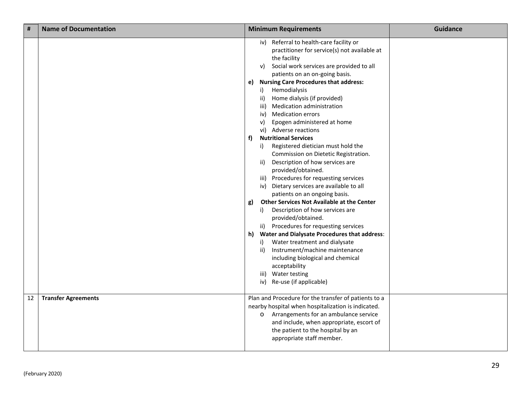| $\vert$ # | <b>Name of Documentation</b> | <b>Minimum Requirements</b>                                                                                                                                                                                                                                                                                                                                                                                                                                                                                                                                                                                                                                                                                                                                                                                                                                                                                                                                                                                                                                                                                                                              | <b>Guidance</b> |
|-----------|------------------------------|----------------------------------------------------------------------------------------------------------------------------------------------------------------------------------------------------------------------------------------------------------------------------------------------------------------------------------------------------------------------------------------------------------------------------------------------------------------------------------------------------------------------------------------------------------------------------------------------------------------------------------------------------------------------------------------------------------------------------------------------------------------------------------------------------------------------------------------------------------------------------------------------------------------------------------------------------------------------------------------------------------------------------------------------------------------------------------------------------------------------------------------------------------|-----------------|
|           |                              | iv) Referral to health-care facility or<br>practitioner for service(s) not available at<br>the facility<br>v) Social work services are provided to all<br>patients on an on-going basis.<br>e) Nursing Care Procedures that address:<br>Hemodialysis<br>i)<br>Home dialysis (if provided)<br>ii)<br>Medication administration<br>iii)<br>iv) Medication errors<br>Epogen administered at home<br>V)<br>vi) Adverse reactions<br><b>Nutritional Services</b><br>f)<br>Registered dietician must hold the<br>i)<br>Commission on Dietetic Registration.<br>Description of how services are<br>ii)<br>provided/obtained.<br>iii) Procedures for requesting services<br>iv) Dietary services are available to all<br>patients on an ongoing basis.<br>Other Services Not Available at the Center<br>g)<br>Description of how services are<br>i)<br>provided/obtained.<br>ii) Procedures for requesting services<br>h) Water and Dialysate Procedures that address:<br>Water treatment and dialysate<br>i)<br>Instrument/machine maintenance<br>ii)<br>including biological and chemical<br>acceptability<br>iii) Water testing<br>iv) Re-use (if applicable) |                 |
| 12        | <b>Transfer Agreements</b>   | Plan and Procedure for the transfer of patients to a<br>nearby hospital when hospitalization is indicated.<br>o Arrangements for an ambulance service<br>and include, when appropriate, escort of<br>the patient to the hospital by an<br>appropriate staff member.                                                                                                                                                                                                                                                                                                                                                                                                                                                                                                                                                                                                                                                                                                                                                                                                                                                                                      |                 |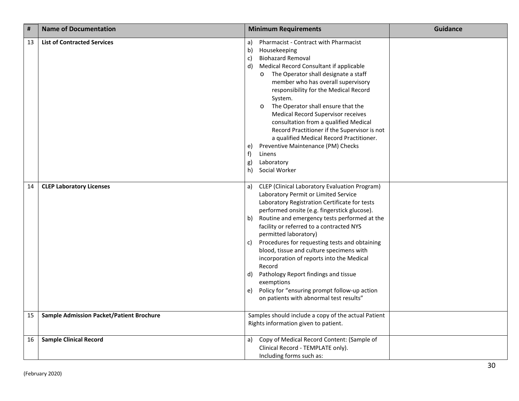| #  | <b>Name of Documentation</b>                    | <b>Guidance</b><br><b>Minimum Requirements</b>                                                                                                                                                                                                                                                                                                                                                                                                                                                                                                                                                                                                        |
|----|-------------------------------------------------|-------------------------------------------------------------------------------------------------------------------------------------------------------------------------------------------------------------------------------------------------------------------------------------------------------------------------------------------------------------------------------------------------------------------------------------------------------------------------------------------------------------------------------------------------------------------------------------------------------------------------------------------------------|
| 13 | <b>List of Contracted Services</b>              | <b>Pharmacist - Contract with Pharmacist</b><br>a)<br>b)<br>Housekeeping<br><b>Biohazard Removal</b><br>c)<br>Medical Record Consultant if applicable<br>d)<br>The Operator shall designate a staff<br>$\circ$<br>member who has overall supervisory<br>responsibility for the Medical Record<br>System.<br>The Operator shall ensure that the<br>$\circ$<br><b>Medical Record Supervisor receives</b><br>consultation from a qualified Medical<br>Record Practitioner if the Supervisor is not<br>a qualified Medical Record Practitioner.<br>Preventive Maintenance (PM) Checks<br>e)<br>f<br>Linens<br>Laboratory<br>g)<br>Social Worker<br>h)     |
| 14 | <b>CLEP Laboratory Licenses</b>                 | <b>CLEP</b> (Clinical Laboratory Evaluation Program)<br>a)<br>Laboratory Permit or Limited Service<br>Laboratory Registration Certificate for tests<br>performed onsite (e.g. fingerstick glucose).<br>Routine and emergency tests performed at the<br>b)<br>facility or referred to a contracted NYS<br>permitted laboratory)<br>Procedures for requesting tests and obtaining<br>c)<br>blood, tissue and culture specimens with<br>incorporation of reports into the Medical<br>Record<br>Pathology Report findings and tissue<br>d)<br>exemptions<br>Policy for "ensuring prompt follow-up action<br>e)<br>on patients with abnormal test results" |
| 15 | <b>Sample Admission Packet/Patient Brochure</b> | Samples should include a copy of the actual Patient<br>Rights information given to patient.                                                                                                                                                                                                                                                                                                                                                                                                                                                                                                                                                           |
| 16 | <b>Sample Clinical Record</b>                   | Copy of Medical Record Content: (Sample of<br>a)<br>Clinical Record - TEMPLATE only).<br>Including forms such as:                                                                                                                                                                                                                                                                                                                                                                                                                                                                                                                                     |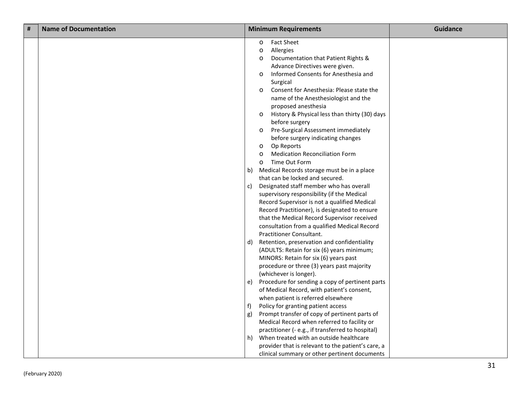| # | <b>Name of Documentation</b> |              | <b>Minimum Requirements</b>                                                                                                                                                                                                                                                                                                                                                                                                                                                                        | <b>Guidance</b> |
|---|------------------------------|--------------|----------------------------------------------------------------------------------------------------------------------------------------------------------------------------------------------------------------------------------------------------------------------------------------------------------------------------------------------------------------------------------------------------------------------------------------------------------------------------------------------------|-----------------|
|   |                              |              | <b>Fact Sheet</b><br>$\circ$<br>Allergies<br>$\circ$<br>Documentation that Patient Rights &<br>$\circ$<br>Advance Directives were given.<br>Informed Consents for Anesthesia and<br>$\circ$<br>Surgical<br>Consent for Anesthesia: Please state the<br>$\circ$<br>name of the Anesthesiologist and the<br>proposed anesthesia<br>History & Physical less than thirty (30) days<br>$\circ$<br>before surgery<br>Pre-Surgical Assessment immediately<br>$\circ$<br>before surgery indicating changes |                 |
|   |                              |              | Op Reports<br>$\circ$<br><b>Medication Reconciliation Form</b><br>$\circ$                                                                                                                                                                                                                                                                                                                                                                                                                          |                 |
|   |                              |              | Time Out Form<br>$\circ$                                                                                                                                                                                                                                                                                                                                                                                                                                                                           |                 |
|   |                              | b)           | Medical Records storage must be in a place                                                                                                                                                                                                                                                                                                                                                                                                                                                         |                 |
|   |                              |              | that can be locked and secured.                                                                                                                                                                                                                                                                                                                                                                                                                                                                    |                 |
|   |                              | c)           | Designated staff member who has overall<br>supervisory responsibility (if the Medical<br>Record Supervisor is not a qualified Medical<br>Record Practitioner), is designated to ensure<br>that the Medical Record Supervisor received<br>consultation from a qualified Medical Record<br>Practitioner Consultant.                                                                                                                                                                                  |                 |
|   |                              | $\mathsf{d}$ | Retention, preservation and confidentiality<br>(ADULTS: Retain for six (6) years minimum;<br>MINORS: Retain for six (6) years past<br>procedure or three (3) years past majority<br>(whichever is longer).                                                                                                                                                                                                                                                                                         |                 |
|   |                              | e)           | Procedure for sending a copy of pertinent parts<br>of Medical Record, with patient's consent,<br>when patient is referred elsewhere                                                                                                                                                                                                                                                                                                                                                                |                 |
|   |                              | f)           | Policy for granting patient access                                                                                                                                                                                                                                                                                                                                                                                                                                                                 |                 |
|   |                              | g)           | Prompt transfer of copy of pertinent parts of                                                                                                                                                                                                                                                                                                                                                                                                                                                      |                 |
|   |                              |              | Medical Record when referred to facility or                                                                                                                                                                                                                                                                                                                                                                                                                                                        |                 |
|   |                              |              | practitioner (- e.g., if transferred to hospital)                                                                                                                                                                                                                                                                                                                                                                                                                                                  |                 |
|   |                              | h)           | When treated with an outside healthcare                                                                                                                                                                                                                                                                                                                                                                                                                                                            |                 |
|   |                              |              | provider that is relevant to the patient's care, a                                                                                                                                                                                                                                                                                                                                                                                                                                                 |                 |
|   |                              |              | clinical summary or other pertinent documents                                                                                                                                                                                                                                                                                                                                                                                                                                                      |                 |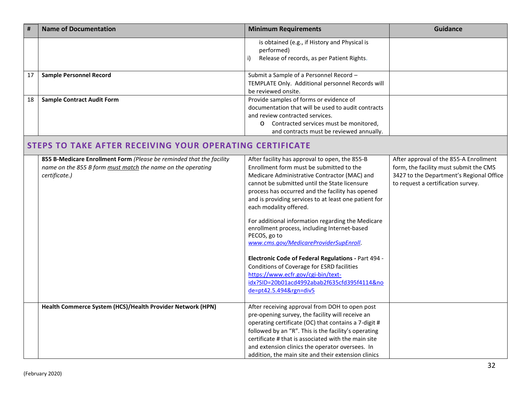|    | <b>Name of Documentation</b>                                                                                                                         | <b>Minimum Requirements</b>                                                                                                                                                                                                                                                                                                                                                                                                                                                                                                                                                                                                                                                                                           | <b>Guidance</b>                                                                                                                                                    |
|----|------------------------------------------------------------------------------------------------------------------------------------------------------|-----------------------------------------------------------------------------------------------------------------------------------------------------------------------------------------------------------------------------------------------------------------------------------------------------------------------------------------------------------------------------------------------------------------------------------------------------------------------------------------------------------------------------------------------------------------------------------------------------------------------------------------------------------------------------------------------------------------------|--------------------------------------------------------------------------------------------------------------------------------------------------------------------|
|    |                                                                                                                                                      | is obtained (e.g., if History and Physical is<br>performed)<br>Release of records, as per Patient Rights.                                                                                                                                                                                                                                                                                                                                                                                                                                                                                                                                                                                                             |                                                                                                                                                                    |
| 17 | <b>Sample Personnel Record</b>                                                                                                                       | Submit a Sample of a Personnel Record -<br>TEMPLATE Only. Additional personnel Records will<br>be reviewed onsite.                                                                                                                                                                                                                                                                                                                                                                                                                                                                                                                                                                                                    |                                                                                                                                                                    |
| 18 | <b>Sample Contract Audit Form</b>                                                                                                                    | Provide samples of forms or evidence of<br>documentation that will be used to audit contracts<br>and review contracted services.<br>O Contracted services must be monitored,<br>and contracts must be reviewed annually.                                                                                                                                                                                                                                                                                                                                                                                                                                                                                              |                                                                                                                                                                    |
|    | <b>STEPS TO TAKE AFTER RECEIVING YOUR OPERATING CERTIFICATE</b>                                                                                      |                                                                                                                                                                                                                                                                                                                                                                                                                                                                                                                                                                                                                                                                                                                       |                                                                                                                                                                    |
|    | 855 B-Medicare Enrollment Form (Please be reminded that the facility<br>name on the 855 B form must match the name on the operating<br>certificate.) | After facility has approval to open, the 855-B<br>Enrollment form must be submitted to the<br>Medicare Administrative Contractor (MAC) and<br>cannot be submitted until the State licensure<br>process has occurred and the facility has opened<br>and is providing services to at least one patient for<br>each modality offered.<br>For additional information regarding the Medicare<br>enrollment process, including Internet-based<br>PECOS, go to<br>www.cms.gov/MedicareProviderSupEnroll.<br>Electronic Code of Federal Regulations - Part 494 -<br>Conditions of Coverage for ESRD facilities<br>https://www.ecfr.gov/cgi-bin/text-<br>idx?SID=20b01acd4992abab2f635cfd395f4114&no<br>de=pt42.5.494&rgn=div5 | After approval of the 855-A Enrollment<br>form, the facility must submit the CMS<br>3427 to the Department's Regional Office<br>to request a certification survey. |
|    | Health Commerce System (HCS)/Health Provider Network (HPN)                                                                                           | After receiving approval from DOH to open post<br>pre-opening survey, the facility will receive an<br>operating certificate (OC) that contains a 7-digit #<br>followed by an "R". This is the facility's operating<br>certificate # that is associated with the main site<br>and extension clinics the operator oversees. In<br>addition, the main site and their extension clinics                                                                                                                                                                                                                                                                                                                                   |                                                                                                                                                                    |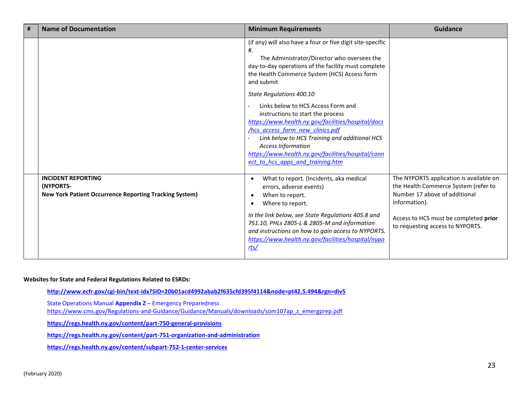| # | <b>Name of Documentation</b>                                                                            | <b>Minimum Requirements</b>                                                                                                                                                                                                                                                                                                                                                                                                                                                                                                                                               | <b>Guidance</b>                                                                                                                                                                                                |
|---|---------------------------------------------------------------------------------------------------------|---------------------------------------------------------------------------------------------------------------------------------------------------------------------------------------------------------------------------------------------------------------------------------------------------------------------------------------------------------------------------------------------------------------------------------------------------------------------------------------------------------------------------------------------------------------------------|----------------------------------------------------------------------------------------------------------------------------------------------------------------------------------------------------------------|
|   |                                                                                                         | (if any) will also have a four or five digit site-specific<br>#.<br>The Administrator/Director who oversees the<br>day-to-day operations of the facility must complete<br>the Health Commerce System (HCS) Access form<br>and submit<br>State Regulations 400.10<br>Links below to HCS Access Form and<br>instructions to start the process<br>https://www.health.ny.gov/facilities/hospital/docs<br>/hcs access form new clinics.pdf<br>Link below to HCS Training and additional HCS<br><b>Access Information</b><br>https://www.health.ny.gov/facilities/hospital/conn |                                                                                                                                                                                                                |
|   |                                                                                                         | ect to hcs apps and training.htm                                                                                                                                                                                                                                                                                                                                                                                                                                                                                                                                          |                                                                                                                                                                                                                |
|   | <b>INCIDENT REPORTING</b><br>(NYPORTS-<br><b>New York Patient Occurrence Reporting Tracking System)</b> | What to report. (Incidents, aka medical<br>errors, adverse events)<br>When to report.<br>$\bullet$<br>Where to report.<br>$\bullet$<br>In the link below, see State Regulations 405.8 and<br>751.10, PHLs 2805-L & 2805-M and information<br>and instructions on how to gain access to NYPORTS.<br>https://www.health.ny.gov/facilities/hospital/nypo<br>rts/                                                                                                                                                                                                             | The NYPORTS application is available on<br>the Health Commerce System (refer to<br>Number 17 above of additional<br>information).<br>Access to HCS must be completed prior<br>to requesting access to NYPORTS. |

#### **Websites for State and Federal Regulations Related to ESRDs:**

**<http://www.ecfr.gov/cgi-bin/text-idx?SID=20b01acd4992abab2f635cfd395f4114&node=pt42.5.494&rgn=div5>**

State Operations Manual **Appendix Z** – Emergency Preparedness

[https://www.cms.gov/Regulations-and-Guidance/Guidance/Manuals/downloads/som107ap\\_z\\_emergprep.pdf](https://www.cms.gov/Regulations-and-Guidance/Guidance/Manuals/downloads/som107ap_z_emergprep.pdf)

**<https://regs.health.ny.gov/content/part-750-general-provisions>**

**<https://regs.health.ny.gov/content/part-751-organization-and-administration>**

**<https://regs.health.ny.gov/content/subpart-752-1-center-services>**